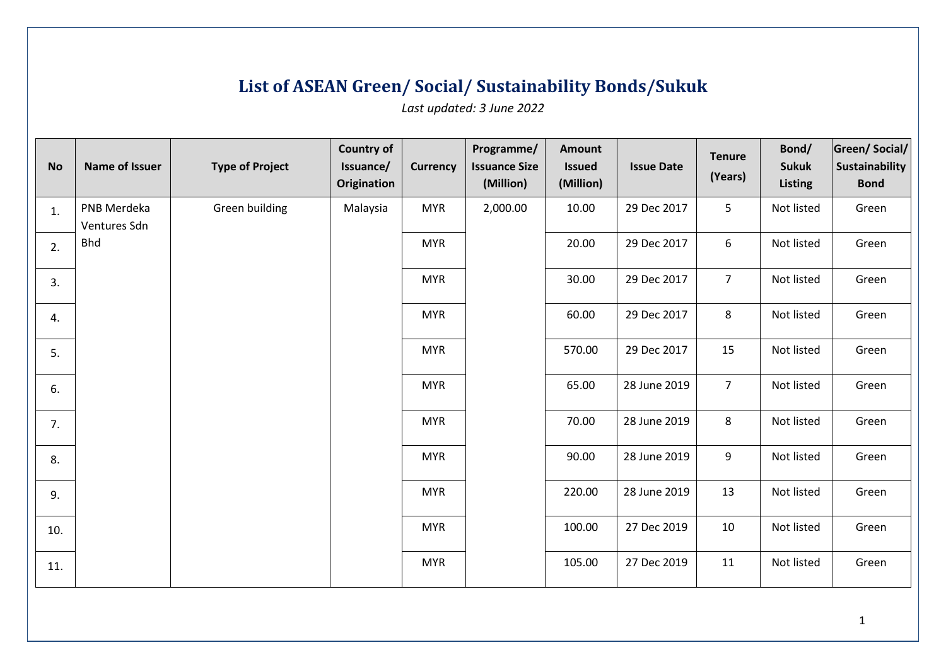## **List of ASEAN Green/ Social/ Sustainability Bonds/Sukuk**

*Last updated: 3 June 2022*

| <b>No</b> | Name of Issuer              | <b>Type of Project</b> | <b>Country of</b><br>Issuance/<br>Origination | <b>Currency</b> | Programme/<br><b>Issuance Size</b><br>(Million) | Amount<br><b>Issued</b><br>(Million) | <b>Issue Date</b> | <b>Tenure</b><br>(Years) | Bond/<br><b>Sukuk</b><br><b>Listing</b> | <b>Green/Social/</b><br><b>Sustainability</b><br><b>Bond</b> |
|-----------|-----------------------------|------------------------|-----------------------------------------------|-----------------|-------------------------------------------------|--------------------------------------|-------------------|--------------------------|-----------------------------------------|--------------------------------------------------------------|
| 1.        | PNB Merdeka<br>Ventures Sdn | Green building         | Malaysia                                      | <b>MYR</b>      | 2,000.00                                        | 10.00                                | 29 Dec 2017       | 5                        | Not listed                              | Green                                                        |
| 2.        | <b>Bhd</b>                  |                        |                                               | <b>MYR</b>      |                                                 | 20.00                                | 29 Dec 2017       | 6                        | Not listed                              | Green                                                        |
| 3.        |                             |                        |                                               | <b>MYR</b>      |                                                 | 30.00                                | 29 Dec 2017       | $\overline{7}$           | Not listed                              | Green                                                        |
| 4.        |                             |                        |                                               | <b>MYR</b>      |                                                 | 60.00                                | 29 Dec 2017       | 8                        | Not listed                              | Green                                                        |
| 5.        |                             |                        |                                               | <b>MYR</b>      |                                                 | 570.00                               | 29 Dec 2017       | 15                       | Not listed                              | Green                                                        |
| 6.        |                             |                        |                                               | <b>MYR</b>      |                                                 | 65.00                                | 28 June 2019      | $\overline{7}$           | Not listed                              | Green                                                        |
| 7.        |                             |                        |                                               | <b>MYR</b>      |                                                 | 70.00                                | 28 June 2019      | 8                        | Not listed                              | Green                                                        |
| 8.        |                             |                        |                                               | <b>MYR</b>      |                                                 | 90.00                                | 28 June 2019      | 9                        | Not listed                              | Green                                                        |
| 9.        |                             |                        |                                               | <b>MYR</b>      |                                                 | 220.00                               | 28 June 2019      | 13                       | Not listed                              | Green                                                        |
| 10.       |                             |                        |                                               | <b>MYR</b>      |                                                 | 100.00                               | 27 Dec 2019       | 10                       | Not listed                              | Green                                                        |
| 11.       |                             |                        |                                               | <b>MYR</b>      |                                                 | 105.00                               | 27 Dec 2019       | 11                       | Not listed                              | Green                                                        |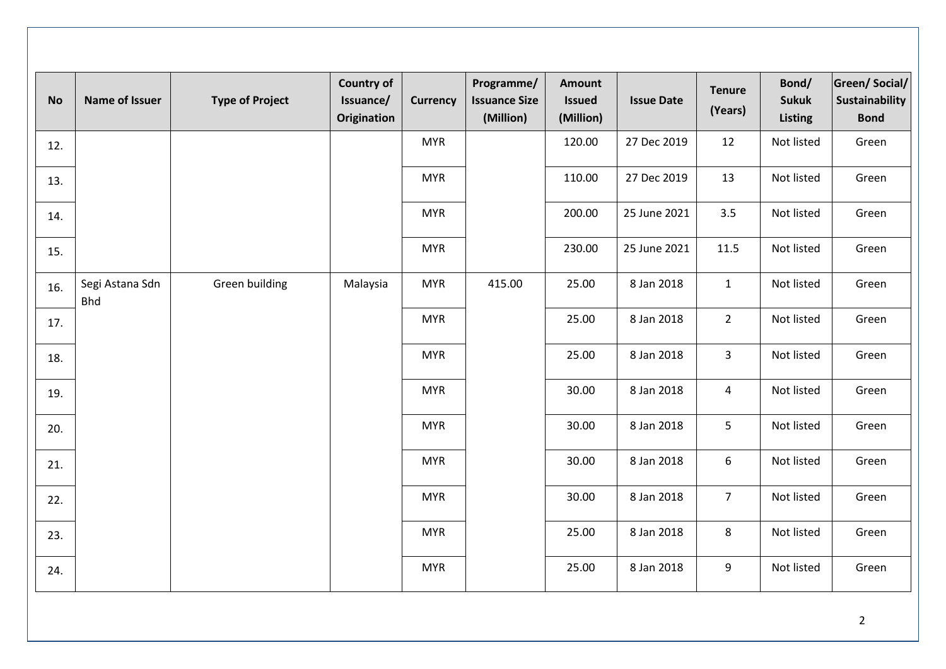| <b>No</b> | <b>Name of Issuer</b>         | <b>Type of Project</b> | <b>Country of</b><br>Issuance/<br><b>Origination</b> | <b>Currency</b> | Programme/<br><b>Issuance Size</b><br>(Million) | <b>Amount</b><br><b>Issued</b><br>(Million) | <b>Issue Date</b> | <b>Tenure</b><br>(Years) | Bond/<br><b>Sukuk</b><br><b>Listing</b> | <b>Green/Social/</b><br>Sustainability<br><b>Bond</b> |
|-----------|-------------------------------|------------------------|------------------------------------------------------|-----------------|-------------------------------------------------|---------------------------------------------|-------------------|--------------------------|-----------------------------------------|-------------------------------------------------------|
| 12.       |                               |                        |                                                      | <b>MYR</b>      |                                                 | 120.00                                      | 27 Dec 2019       | 12                       | Not listed                              | Green                                                 |
| 13.       |                               |                        |                                                      | <b>MYR</b>      |                                                 | 110.00                                      | 27 Dec 2019       | 13                       | Not listed                              | Green                                                 |
| 14.       |                               |                        |                                                      | <b>MYR</b>      |                                                 | 200.00                                      | 25 June 2021      | 3.5                      | Not listed                              | Green                                                 |
| 15.       |                               |                        |                                                      | <b>MYR</b>      |                                                 | 230.00                                      | 25 June 2021      | 11.5                     | Not listed                              | Green                                                 |
| 16.       | Segi Astana Sdn<br><b>Bhd</b> | Green building         | Malaysia                                             | <b>MYR</b>      | 415.00                                          | 25.00                                       | 8 Jan 2018        | $\mathbf{1}$             | Not listed                              | Green                                                 |
| 17.       |                               |                        |                                                      | <b>MYR</b>      |                                                 | 25.00                                       | 8 Jan 2018        | $\overline{2}$           | Not listed                              | Green                                                 |
| 18.       |                               |                        |                                                      | <b>MYR</b>      |                                                 | 25.00                                       | 8 Jan 2018        | $\overline{3}$           | Not listed                              | Green                                                 |
| 19.       |                               |                        |                                                      | <b>MYR</b>      |                                                 | 30.00                                       | 8 Jan 2018        | $\overline{4}$           | Not listed                              | Green                                                 |
| 20.       |                               |                        |                                                      | <b>MYR</b>      |                                                 | 30.00                                       | 8 Jan 2018        | 5                        | Not listed                              | Green                                                 |
| 21.       |                               |                        |                                                      | <b>MYR</b>      |                                                 | 30.00                                       | 8 Jan 2018        | 6                        | Not listed                              | Green                                                 |
| 22.       |                               |                        |                                                      | <b>MYR</b>      |                                                 | 30.00                                       | 8 Jan 2018        | $\overline{7}$           | Not listed                              | Green                                                 |
| 23.       |                               |                        |                                                      | <b>MYR</b>      |                                                 | 25.00                                       | 8 Jan 2018        | $\,8\,$                  | Not listed                              | Green                                                 |
| 24.       |                               |                        |                                                      | <b>MYR</b>      |                                                 | 25.00                                       | 8 Jan 2018        | 9                        | Not listed                              | Green                                                 |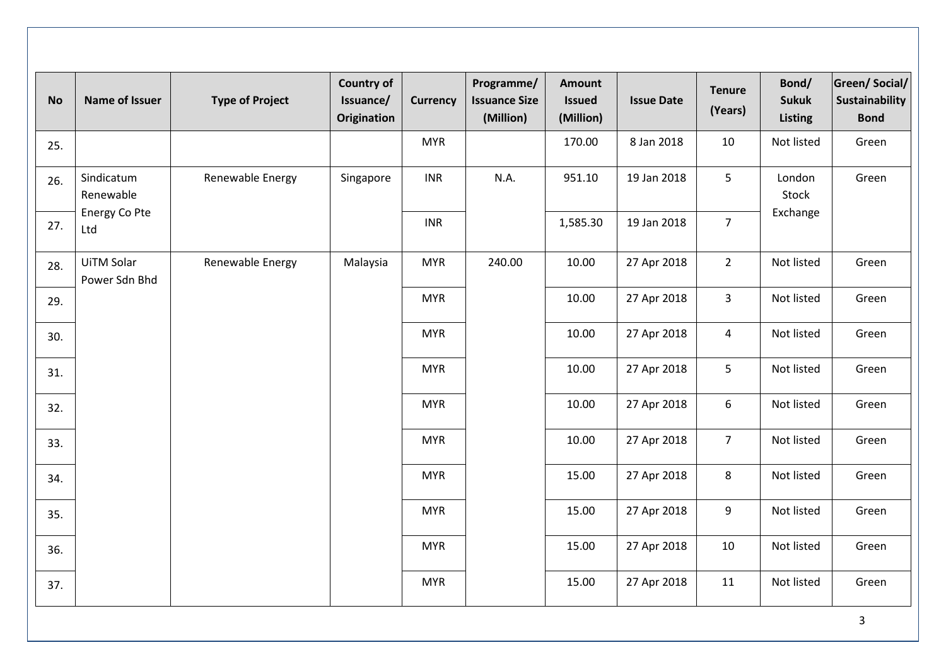| <b>No</b> | <b>Name of Issuer</b>       | <b>Type of Project</b> | <b>Country of</b><br>Issuance/<br>Origination | <b>Currency</b> | Programme/<br><b>Issuance Size</b><br>(Million) | <b>Amount</b><br><b>Issued</b><br>(Million) | <b>Issue Date</b> | <b>Tenure</b><br>(Years) | Bond/<br><b>Sukuk</b><br><b>Listing</b> | <b>Green/Social/</b><br><b>Sustainability</b><br><b>Bond</b> |
|-----------|-----------------------------|------------------------|-----------------------------------------------|-----------------|-------------------------------------------------|---------------------------------------------|-------------------|--------------------------|-----------------------------------------|--------------------------------------------------------------|
| 25.       |                             |                        |                                               | <b>MYR</b>      |                                                 | 170.00                                      | 8 Jan 2018        | 10                       | Not listed                              | Green                                                        |
| 26.       | Sindicatum<br>Renewable     | Renewable Energy       | Singapore                                     | <b>INR</b>      | N.A.                                            | 951.10                                      | 19 Jan 2018       | 5                        | London<br>Stock                         | Green                                                        |
| 27.       | Energy Co Pte<br>Ltd        |                        |                                               | <b>INR</b>      |                                                 | 1,585.30                                    | 19 Jan 2018       | $\overline{7}$           | Exchange                                |                                                              |
| 28.       | UiTM Solar<br>Power Sdn Bhd | Renewable Energy       | Malaysia                                      | <b>MYR</b>      | 240.00                                          | 10.00                                       | 27 Apr 2018       | $\overline{2}$           | Not listed                              | Green                                                        |
| 29.       |                             |                        |                                               | <b>MYR</b>      |                                                 | 10.00                                       | 27 Apr 2018       | $\overline{3}$           | Not listed                              | Green                                                        |
| 30.       |                             |                        |                                               | <b>MYR</b>      |                                                 | 10.00                                       | 27 Apr 2018       | $\overline{4}$           | Not listed                              | Green                                                        |
| 31.       |                             |                        |                                               | <b>MYR</b>      |                                                 | 10.00                                       | 27 Apr 2018       | 5                        | Not listed                              | Green                                                        |
| 32.       |                             |                        |                                               | <b>MYR</b>      |                                                 | 10.00                                       | 27 Apr 2018       | 6                        | Not listed                              | Green                                                        |
| 33.       |                             |                        |                                               | <b>MYR</b>      |                                                 | 10.00                                       | 27 Apr 2018       | $\overline{7}$           | Not listed                              | Green                                                        |
| 34.       |                             |                        |                                               | <b>MYR</b>      |                                                 | 15.00                                       | 27 Apr 2018       | 8                        | Not listed                              | Green                                                        |
| 35.       |                             |                        |                                               | <b>MYR</b>      |                                                 | 15.00                                       | 27 Apr 2018       | 9                        | Not listed                              | Green                                                        |
| 36.       |                             |                        |                                               | <b>MYR</b>      |                                                 | 15.00                                       | 27 Apr 2018       | 10                       | Not listed                              | Green                                                        |
| 37.       |                             |                        |                                               | <b>MYR</b>      |                                                 | 15.00                                       | 27 Apr 2018       | 11                       | Not listed                              | Green                                                        |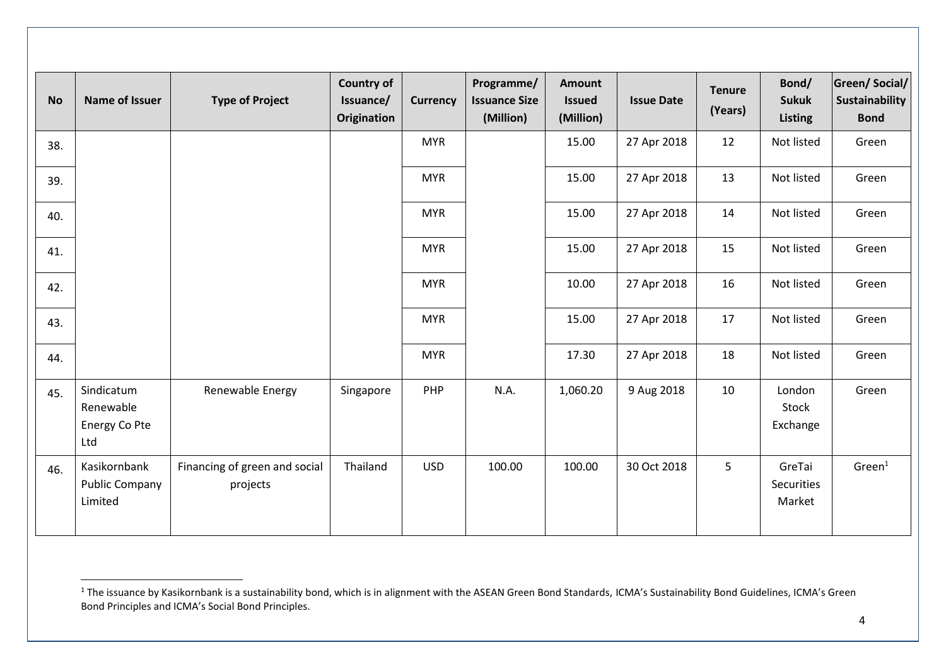| <b>No</b> | <b>Name of Issuer</b>                            | <b>Type of Project</b>                    | <b>Country of</b><br>Issuance/<br>Origination | <b>Currency</b> | Programme/<br><b>Issuance Size</b><br>(Million) | <b>Amount</b><br><b>Issued</b><br>(Million) | <b>Issue Date</b> | <b>Tenure</b><br>(Years) | Bond/<br><b>Sukuk</b><br><b>Listing</b> | Green/Social/<br>Sustainability<br><b>Bond</b> |
|-----------|--------------------------------------------------|-------------------------------------------|-----------------------------------------------|-----------------|-------------------------------------------------|---------------------------------------------|-------------------|--------------------------|-----------------------------------------|------------------------------------------------|
| 38.       |                                                  |                                           |                                               | <b>MYR</b>      |                                                 | 15.00                                       | 27 Apr 2018       | 12                       | Not listed                              | Green                                          |
| 39.       |                                                  |                                           |                                               | <b>MYR</b>      |                                                 | 15.00                                       | 27 Apr 2018       | 13                       | Not listed                              | Green                                          |
| 40.       |                                                  |                                           |                                               | <b>MYR</b>      |                                                 | 15.00                                       | 27 Apr 2018       | 14                       | Not listed                              | Green                                          |
| 41.       |                                                  |                                           |                                               | <b>MYR</b>      |                                                 | 15.00                                       | 27 Apr 2018       | 15                       | Not listed                              | Green                                          |
| 42.       |                                                  |                                           |                                               | <b>MYR</b>      |                                                 | 10.00                                       | 27 Apr 2018       | 16                       | Not listed                              | Green                                          |
| 43.       |                                                  |                                           |                                               | <b>MYR</b>      |                                                 | 15.00                                       | 27 Apr 2018       | 17                       | Not listed                              | Green                                          |
| 44.       |                                                  |                                           |                                               | <b>MYR</b>      |                                                 | 17.30                                       | 27 Apr 2018       | 18                       | Not listed                              | Green                                          |
| 45.       | Sindicatum<br>Renewable<br>Energy Co Pte<br>Ltd  | Renewable Energy                          | Singapore                                     | PHP             | N.A.                                            | 1,060.20                                    | 9 Aug 2018        | 10                       | London<br>Stock<br>Exchange             | Green                                          |
| 46.       | Kasikornbank<br><b>Public Company</b><br>Limited | Financing of green and social<br>projects | Thailand                                      | <b>USD</b>      | 100.00                                          | 100.00                                      | 30 Oct 2018       | 5                        | GreTai<br>Securities<br>Market          | Green <sup>1</sup>                             |

<sup>&</sup>lt;sup>1</sup> The issuance by Kasikornbank is a sustainability bond, which is in alignment with the ASEAN Green Bond Standards, ICMA's Sustainability Bond Guidelines, ICMA's Green Bond Principles and ICMA's Social Bond Principles.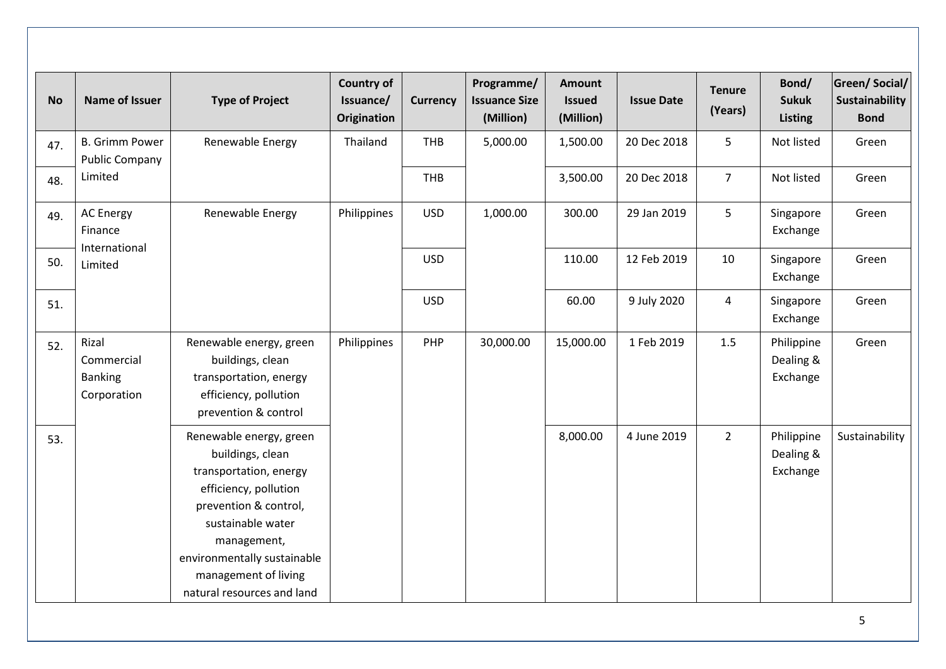| <b>No</b> | Name of Issuer                                       | <b>Type of Project</b>                                                                                                                                                                                                                           | <b>Country of</b><br>Issuance/<br><b>Origination</b> | <b>Currency</b> | Programme/<br><b>Issuance Size</b><br>(Million) | <b>Amount</b><br><b>Issued</b><br>(Million) | <b>Issue Date</b> | <b>Tenure</b><br>(Years) | Bond/<br><b>Sukuk</b><br><b>Listing</b> | <b>Green/Social/</b><br><b>Sustainability</b><br><b>Bond</b> |
|-----------|------------------------------------------------------|--------------------------------------------------------------------------------------------------------------------------------------------------------------------------------------------------------------------------------------------------|------------------------------------------------------|-----------------|-------------------------------------------------|---------------------------------------------|-------------------|--------------------------|-----------------------------------------|--------------------------------------------------------------|
| 47.       | <b>B.</b> Grimm Power<br><b>Public Company</b>       | Renewable Energy                                                                                                                                                                                                                                 | Thailand                                             | THB             | 5,000.00                                        | 1,500.00                                    | 20 Dec 2018       | 5                        | Not listed                              | Green                                                        |
| 48.       | Limited                                              |                                                                                                                                                                                                                                                  |                                                      | THB             |                                                 | 3,500.00                                    | 20 Dec 2018       | $\overline{7}$           | Not listed                              | Green                                                        |
| 49.       | <b>AC Energy</b><br>Finance                          | Renewable Energy                                                                                                                                                                                                                                 | Philippines                                          | <b>USD</b>      | 1,000.00                                        | 300.00                                      | 29 Jan 2019       | 5                        | Singapore<br>Exchange                   | Green                                                        |
| 50.       | International<br>Limited                             |                                                                                                                                                                                                                                                  |                                                      | <b>USD</b>      |                                                 | 110.00                                      | 12 Feb 2019       | 10                       | Singapore<br>Exchange                   | Green                                                        |
| 51.       |                                                      |                                                                                                                                                                                                                                                  |                                                      | <b>USD</b>      |                                                 | 60.00                                       | 9 July 2020       | $\overline{4}$           | Singapore<br>Exchange                   | Green                                                        |
| 52.       | Rizal<br>Commercial<br><b>Banking</b><br>Corporation | Renewable energy, green<br>buildings, clean<br>transportation, energy<br>efficiency, pollution<br>prevention & control                                                                                                                           | Philippines                                          | PHP             | 30,000.00                                       | 15,000.00                                   | 1 Feb 2019        | 1.5                      | Philippine<br>Dealing &<br>Exchange     | Green                                                        |
| 53.       |                                                      | Renewable energy, green<br>buildings, clean<br>transportation, energy<br>efficiency, pollution<br>prevention & control,<br>sustainable water<br>management,<br>environmentally sustainable<br>management of living<br>natural resources and land |                                                      |                 |                                                 | 8,000.00                                    | 4 June 2019       | $\overline{2}$           | Philippine<br>Dealing &<br>Exchange     | Sustainability                                               |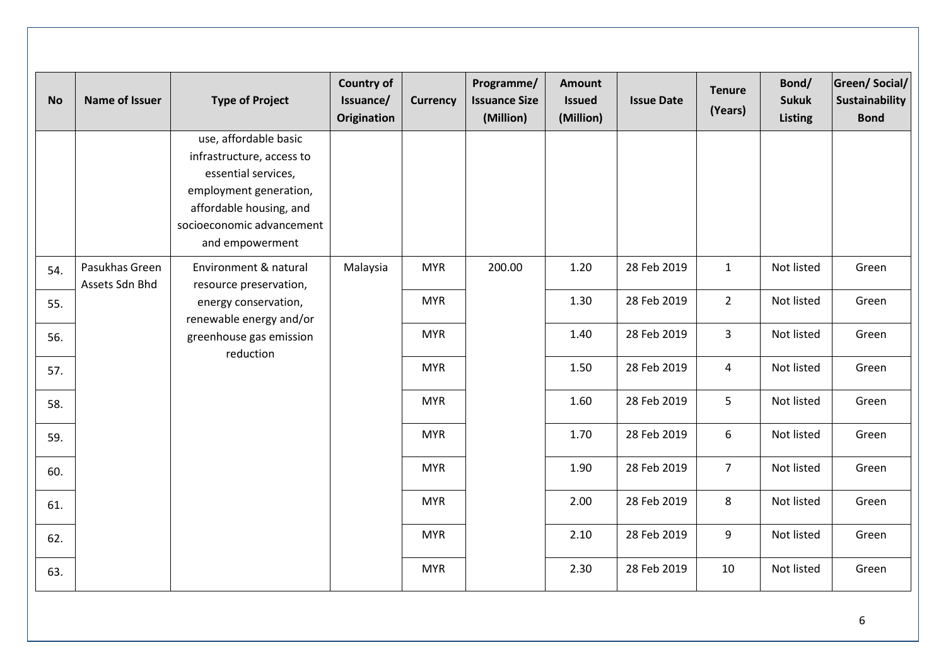| <b>No</b> | <b>Name of Issuer</b>            | <b>Type of Project</b>                                                                                                                                                         | <b>Country of</b><br>Issuance/<br><b>Origination</b> | <b>Currency</b> | Programme/<br><b>Issuance Size</b><br>(Million) | <b>Amount</b><br><b>Issued</b><br>(Million) | <b>Issue Date</b> | <b>Tenure</b><br>(Years) | Bond/<br><b>Sukuk</b><br><b>Listing</b> | <b>Green/Social/</b><br>Sustainability<br><b>Bond</b> |
|-----------|----------------------------------|--------------------------------------------------------------------------------------------------------------------------------------------------------------------------------|------------------------------------------------------|-----------------|-------------------------------------------------|---------------------------------------------|-------------------|--------------------------|-----------------------------------------|-------------------------------------------------------|
|           |                                  | use, affordable basic<br>infrastructure, access to<br>essential services,<br>employment generation,<br>affordable housing, and<br>socioeconomic advancement<br>and empowerment |                                                      |                 |                                                 |                                             |                   |                          |                                         |                                                       |
| 54.       | Pasukhas Green<br>Assets Sdn Bhd | Environment & natural<br>resource preservation,                                                                                                                                | Malaysia                                             | <b>MYR</b>      | 200.00                                          | 1.20                                        | 28 Feb 2019       | $\mathbf{1}$             | Not listed                              | Green                                                 |
| 55.       |                                  | energy conservation,<br>renewable energy and/or                                                                                                                                |                                                      | <b>MYR</b>      |                                                 | 1.30                                        | 28 Feb 2019       | $\overline{2}$           | Not listed                              | Green                                                 |
| 56.       |                                  | greenhouse gas emission<br>reduction                                                                                                                                           |                                                      | <b>MYR</b>      |                                                 | 1.40                                        | 28 Feb 2019       | $\overline{3}$           | Not listed                              | Green                                                 |
| 57.       |                                  |                                                                                                                                                                                |                                                      | <b>MYR</b>      |                                                 | 1.50                                        | 28 Feb 2019       | $\overline{4}$           | Not listed                              | Green                                                 |
| 58.       |                                  |                                                                                                                                                                                |                                                      | <b>MYR</b>      |                                                 | 1.60                                        | 28 Feb 2019       | 5                        | Not listed                              | Green                                                 |
| 59.       |                                  |                                                                                                                                                                                |                                                      | <b>MYR</b>      |                                                 | 1.70                                        | 28 Feb 2019       | 6                        | Not listed                              | Green                                                 |
| 60.       |                                  |                                                                                                                                                                                |                                                      | <b>MYR</b>      |                                                 | 1.90                                        | 28 Feb 2019       | $\overline{7}$           | Not listed                              | Green                                                 |
| 61.       |                                  |                                                                                                                                                                                |                                                      | <b>MYR</b>      |                                                 | 2.00                                        | 28 Feb 2019       | 8                        | Not listed                              | Green                                                 |
| 62.       |                                  |                                                                                                                                                                                |                                                      | <b>MYR</b>      |                                                 | 2.10                                        | 28 Feb 2019       | 9                        | Not listed                              | Green                                                 |
| 63.       |                                  |                                                                                                                                                                                |                                                      | <b>MYR</b>      |                                                 | 2.30                                        | 28 Feb 2019       | 10                       | Not listed                              | Green                                                 |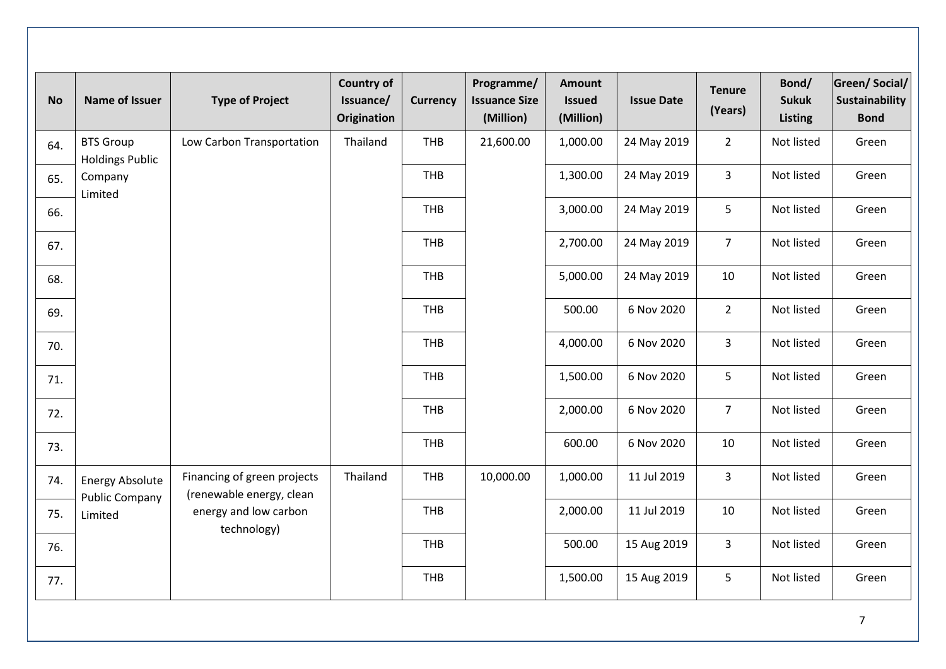| <b>No</b> | Name of Issuer                             | <b>Type of Project</b>                                  | <b>Country of</b><br>Issuance/<br><b>Origination</b> | <b>Currency</b> | Programme/<br><b>Issuance Size</b><br>(Million) | <b>Amount</b><br><b>Issued</b><br>(Million) | <b>Issue Date</b> | <b>Tenure</b><br>(Years) | Bond/<br><b>Sukuk</b><br><b>Listing</b> | <b>Green/Social/</b><br>Sustainability<br><b>Bond</b> |
|-----------|--------------------------------------------|---------------------------------------------------------|------------------------------------------------------|-----------------|-------------------------------------------------|---------------------------------------------|-------------------|--------------------------|-----------------------------------------|-------------------------------------------------------|
| 64.       | <b>BTS Group</b><br><b>Holdings Public</b> | Low Carbon Transportation                               | Thailand                                             | THB             | 21,600.00                                       | 1,000.00                                    | 24 May 2019       | $\overline{2}$           | Not listed                              | Green                                                 |
| 65.       | Company<br>Limited                         |                                                         |                                                      | THB             |                                                 | 1,300.00                                    | 24 May 2019       | $\mathbf{3}$             | Not listed                              | Green                                                 |
| 66.       |                                            |                                                         |                                                      | THB             |                                                 | 3,000.00                                    | 24 May 2019       | 5                        | Not listed                              | Green                                                 |
| 67.       |                                            |                                                         |                                                      | <b>THB</b>      |                                                 | 2,700.00                                    | 24 May 2019       | 7 <sup>7</sup>           | Not listed                              | Green                                                 |
| 68.       |                                            |                                                         |                                                      | THB             |                                                 | 5,000.00                                    | 24 May 2019       | 10                       | Not listed                              | Green                                                 |
| 69.       |                                            |                                                         |                                                      | <b>THB</b>      |                                                 | 500.00                                      | 6 Nov 2020        | $\overline{2}$           | Not listed                              | Green                                                 |
| 70.       |                                            |                                                         |                                                      | <b>THB</b>      |                                                 | 4,000.00                                    | 6 Nov 2020        | $\overline{3}$           | Not listed                              | Green                                                 |
| 71.       |                                            |                                                         |                                                      | THB             |                                                 | 1,500.00                                    | 6 Nov 2020        | $5\phantom{.}$           | Not listed                              | Green                                                 |
| 72.       |                                            |                                                         |                                                      | <b>THB</b>      |                                                 | 2,000.00                                    | 6 Nov 2020        | $\overline{7}$           | Not listed                              | Green                                                 |
| 73.       |                                            |                                                         |                                                      | THB             |                                                 | 600.00                                      | 6 Nov 2020        | 10                       | Not listed                              | Green                                                 |
| 74.       | <b>Energy Absolute</b>                     | Financing of green projects<br>(renewable energy, clean | Thailand                                             | <b>THB</b>      | 10,000.00                                       | 1,000.00                                    | 11 Jul 2019       | 3                        | Not listed                              | Green                                                 |
| 75.       | <b>Public Company</b><br>Limited           | energy and low carbon<br>technology)                    |                                                      | THB             |                                                 | 2,000.00                                    | 11 Jul 2019       | 10                       | Not listed                              | Green                                                 |
| 76.       |                                            |                                                         |                                                      | <b>THB</b>      |                                                 | 500.00                                      | 15 Aug 2019       | 3                        | Not listed                              | Green                                                 |
| 77.       |                                            |                                                         | THB                                                  |                 | 1,500.00                                        | 15 Aug 2019                                 | 5                 | Not listed               | Green                                   |                                                       |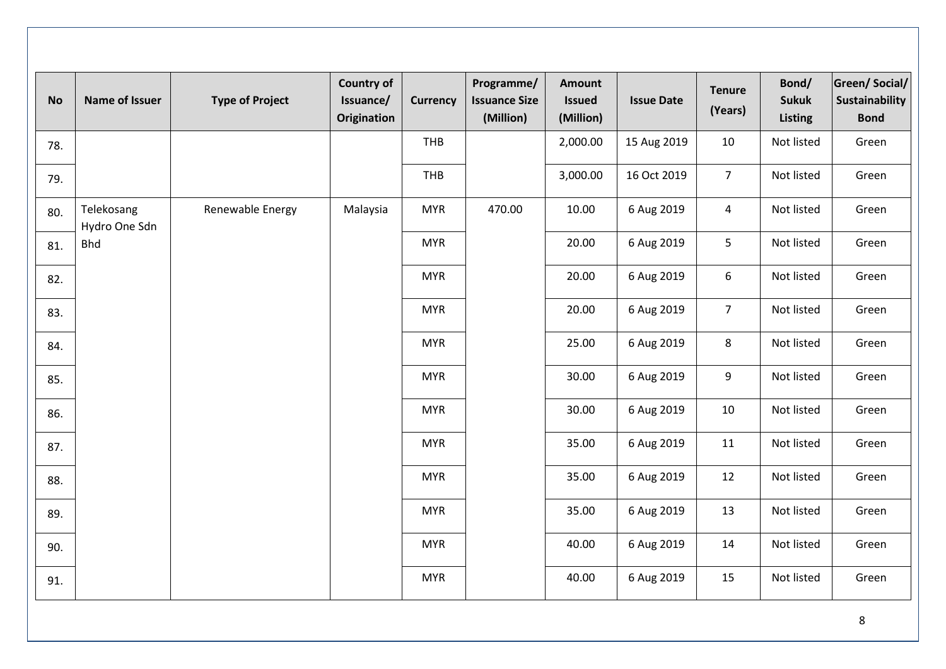| <b>No</b> | <b>Name of Issuer</b>       | <b>Type of Project</b> | <b>Country of</b><br>Issuance/<br><b>Origination</b> | <b>Currency</b> | Programme/<br><b>Issuance Size</b><br>(Million) | <b>Amount</b><br><b>Issued</b><br>(Million) | <b>Issue Date</b> | <b>Tenure</b><br>(Years) | Bond/<br><b>Sukuk</b><br><b>Listing</b> | Green/Social/<br>Sustainability<br><b>Bond</b> |
|-----------|-----------------------------|------------------------|------------------------------------------------------|-----------------|-------------------------------------------------|---------------------------------------------|-------------------|--------------------------|-----------------------------------------|------------------------------------------------|
| 78.       |                             |                        |                                                      | THB             |                                                 | 2,000.00                                    | 15 Aug 2019       | 10                       | Not listed                              | Green                                          |
| 79.       |                             |                        |                                                      | <b>THB</b>      |                                                 | 3,000.00                                    | 16 Oct 2019       | 7 <sup>1</sup>           | Not listed                              | Green                                          |
| 80.       | Telekosang<br>Hydro One Sdn | Renewable Energy       | Malaysia                                             | <b>MYR</b>      | 470.00                                          | 10.00                                       | 6 Aug 2019        | $\overline{4}$           | Not listed                              | Green                                          |
| 81.       | <b>Bhd</b>                  |                        |                                                      | <b>MYR</b>      |                                                 | 20.00                                       | 6 Aug 2019        | 5                        | Not listed                              | Green                                          |
| 82.       |                             |                        |                                                      | <b>MYR</b>      |                                                 | 20.00                                       | 6 Aug 2019        | 6                        | Not listed                              | Green                                          |
| 83.       |                             |                        |                                                      | <b>MYR</b>      |                                                 | 20.00                                       | 6 Aug 2019        | $\overline{7}$           | Not listed                              | Green                                          |
| 84.       |                             |                        |                                                      | <b>MYR</b>      |                                                 | 25.00                                       | 6 Aug 2019        | 8                        | Not listed                              | Green                                          |
| 85.       |                             |                        |                                                      | <b>MYR</b>      |                                                 | 30.00                                       | 6 Aug 2019        | $\boldsymbol{9}$         | Not listed                              | Green                                          |
| 86.       |                             |                        |                                                      | <b>MYR</b>      |                                                 | 30.00                                       | 6 Aug 2019        | 10                       | Not listed                              | Green                                          |
| 87.       |                             |                        |                                                      | <b>MYR</b>      |                                                 | 35.00                                       | 6 Aug 2019        | 11                       | Not listed                              | Green                                          |
| 88.       |                             |                        |                                                      | <b>MYR</b>      |                                                 | 35.00                                       | 6 Aug 2019        | 12                       | Not listed                              | Green                                          |
| 89.       |                             |                        |                                                      | <b>MYR</b>      |                                                 | 35.00                                       | 6 Aug 2019        | 13                       | Not listed                              | Green                                          |
| 90.       |                             |                        |                                                      | <b>MYR</b>      |                                                 | 40.00                                       | 6 Aug 2019        | 14                       | Not listed                              | Green                                          |
| 91.       |                             |                        |                                                      | <b>MYR</b>      |                                                 | 40.00                                       | 6 Aug 2019        | 15                       | Not listed                              | Green                                          |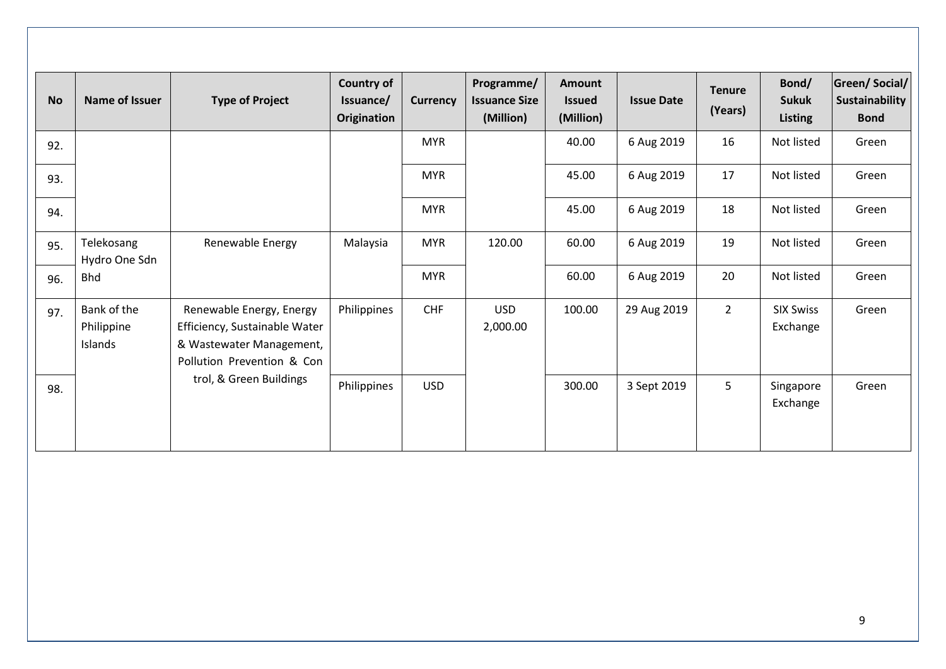| <b>No</b> | <b>Name of Issuer</b>                | <b>Type of Project</b>                                                                                              | <b>Country of</b><br>Issuance/<br>Origination | <b>Currency</b> | Programme/<br><b>Issuance Size</b><br>(Million) | <b>Amount</b><br><b>Issued</b><br>(Million) | <b>Issue Date</b> | <b>Tenure</b><br>(Years) | Bond/<br><b>Sukuk</b><br><b>Listing</b> | <b>Green/Social/</b><br>Sustainability<br><b>Bond</b> |
|-----------|--------------------------------------|---------------------------------------------------------------------------------------------------------------------|-----------------------------------------------|-----------------|-------------------------------------------------|---------------------------------------------|-------------------|--------------------------|-----------------------------------------|-------------------------------------------------------|
| 92.       |                                      |                                                                                                                     |                                               | <b>MYR</b>      |                                                 | 40.00                                       | 6 Aug 2019        | 16                       | Not listed                              | Green                                                 |
| 93.       |                                      |                                                                                                                     |                                               | <b>MYR</b>      |                                                 | 45.00                                       | 6 Aug 2019        | 17                       | Not listed                              | Green                                                 |
| 94.       |                                      |                                                                                                                     |                                               | <b>MYR</b>      |                                                 | 45.00                                       | 6 Aug 2019        | 18                       | Not listed                              | Green                                                 |
| 95.       | Telekosang<br>Hydro One Sdn          | Renewable Energy                                                                                                    | Malaysia                                      | <b>MYR</b>      | 120.00                                          | 60.00                                       | 6 Aug 2019        | 19                       | Not listed                              | Green                                                 |
| 96.       | <b>Bhd</b>                           |                                                                                                                     |                                               | <b>MYR</b>      |                                                 | 60.00                                       | 6 Aug 2019        | 20                       | Not listed                              | Green                                                 |
| 97.       | Bank of the<br>Philippine<br>Islands | Renewable Energy, Energy<br>Efficiency, Sustainable Water<br>& Wastewater Management,<br>Pollution Prevention & Con | Philippines                                   | <b>CHF</b>      | <b>USD</b><br>2,000.00                          | 100.00                                      | 29 Aug 2019       | $\overline{2}$           | <b>SIX Swiss</b><br>Exchange            | Green                                                 |
| 98.       |                                      | trol, & Green Buildings                                                                                             | Philippines                                   | <b>USD</b>      |                                                 | 300.00                                      | 3 Sept 2019       | 5                        | Singapore<br>Exchange                   | Green                                                 |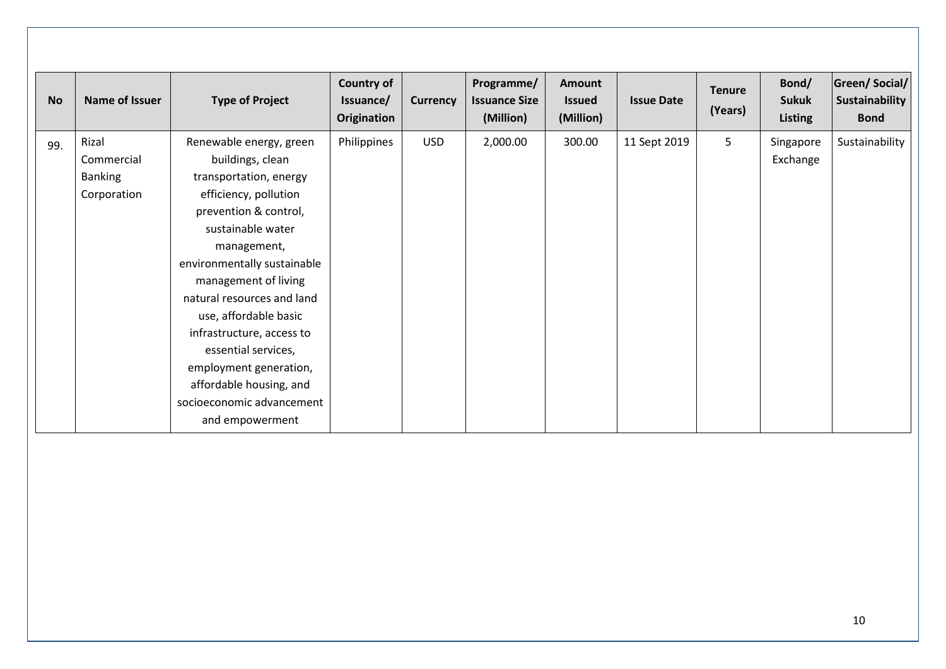| <b>No</b> | Name of Issuer                                       | <b>Type of Project</b>                                                                                                                                                                                                                                                                                                                                                                                                             | <b>Country of</b><br>Issuance/<br>Origination | <b>Currency</b> | Programme/<br><b>Issuance Size</b><br>(Million) | <b>Amount</b><br><b>Issued</b><br>(Million) | <b>Issue Date</b> | <b>Tenure</b><br>(Years) | Bond/<br><b>Sukuk</b><br><b>Listing</b> | <b>Green/Social/</b><br>Sustainability<br><b>Bond</b> |
|-----------|------------------------------------------------------|------------------------------------------------------------------------------------------------------------------------------------------------------------------------------------------------------------------------------------------------------------------------------------------------------------------------------------------------------------------------------------------------------------------------------------|-----------------------------------------------|-----------------|-------------------------------------------------|---------------------------------------------|-------------------|--------------------------|-----------------------------------------|-------------------------------------------------------|
| 99.       | Rizal<br>Commercial<br><b>Banking</b><br>Corporation | Renewable energy, green<br>buildings, clean<br>transportation, energy<br>efficiency, pollution<br>prevention & control,<br>sustainable water<br>management,<br>environmentally sustainable<br>management of living<br>natural resources and land<br>use, affordable basic<br>infrastructure, access to<br>essential services,<br>employment generation,<br>affordable housing, and<br>socioeconomic advancement<br>and empowerment | Philippines                                   | <b>USD</b>      | 2,000.00                                        | 300.00                                      | 11 Sept 2019      | 5                        | Singapore<br>Exchange                   | Sustainability                                        |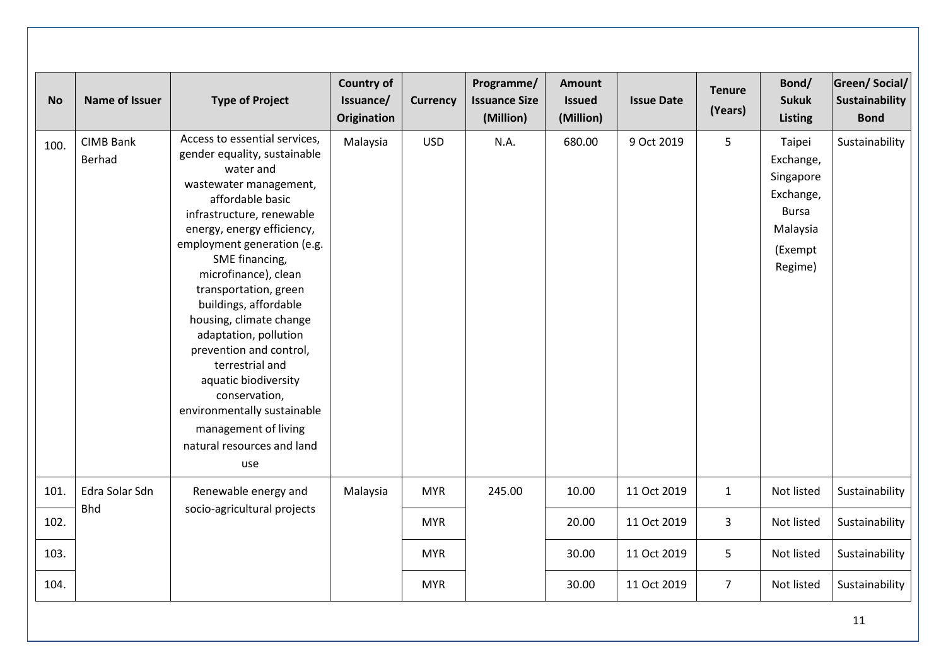| <b>No</b> | Name of Issuer                    | <b>Type of Project</b>                                                                                                                                                                                                                                                                                                                                                                                                                                                                                                                                | <b>Country of</b><br>Issuance/<br><b>Origination</b> | <b>Currency</b> | Programme/<br><b>Issuance Size</b><br>(Million) | <b>Amount</b><br><b>Issued</b><br>(Million) | <b>Issue Date</b> | <b>Tenure</b><br>(Years) | Bond/<br><b>Sukuk</b><br><b>Listing</b>                                                         | Green/Social/<br>Sustainability<br><b>Bond</b> |
|-----------|-----------------------------------|-------------------------------------------------------------------------------------------------------------------------------------------------------------------------------------------------------------------------------------------------------------------------------------------------------------------------------------------------------------------------------------------------------------------------------------------------------------------------------------------------------------------------------------------------------|------------------------------------------------------|-----------------|-------------------------------------------------|---------------------------------------------|-------------------|--------------------------|-------------------------------------------------------------------------------------------------|------------------------------------------------|
| 100.      | <b>CIMB Bank</b><br><b>Berhad</b> | Access to essential services,<br>gender equality, sustainable<br>water and<br>wastewater management,<br>affordable basic<br>infrastructure, renewable<br>energy, energy efficiency,<br>employment generation (e.g.<br>SME financing,<br>microfinance), clean<br>transportation, green<br>buildings, affordable<br>housing, climate change<br>adaptation, pollution<br>prevention and control,<br>terrestrial and<br>aquatic biodiversity<br>conservation,<br>environmentally sustainable<br>management of living<br>natural resources and land<br>use | Malaysia                                             | <b>USD</b>      | N.A.                                            | 680.00                                      | 9 Oct 2019        | 5                        | Taipei<br>Exchange,<br>Singapore<br>Exchange,<br><b>Bursa</b><br>Malaysia<br>(Exempt<br>Regime) | Sustainability                                 |
| 101.      | Edra Solar Sdn<br><b>Bhd</b>      | Renewable energy and                                                                                                                                                                                                                                                                                                                                                                                                                                                                                                                                  | Malaysia                                             | <b>MYR</b>      | 245.00                                          | 10.00                                       | 11 Oct 2019       | $\mathbf{1}$             | Not listed                                                                                      | Sustainability                                 |
| 102.      |                                   | socio-agricultural projects                                                                                                                                                                                                                                                                                                                                                                                                                                                                                                                           |                                                      | <b>MYR</b>      |                                                 | 20.00                                       | 11 Oct 2019       | 3                        | Not listed                                                                                      | Sustainability                                 |
| 103.      |                                   |                                                                                                                                                                                                                                                                                                                                                                                                                                                                                                                                                       |                                                      | <b>MYR</b>      |                                                 | 30.00                                       | 11 Oct 2019       | 5                        | Not listed                                                                                      | Sustainability                                 |
| 104.      |                                   |                                                                                                                                                                                                                                                                                                                                                                                                                                                                                                                                                       |                                                      | <b>MYR</b>      |                                                 | 30.00                                       | 11 Oct 2019       | $\overline{7}$           | Not listed                                                                                      | Sustainability                                 |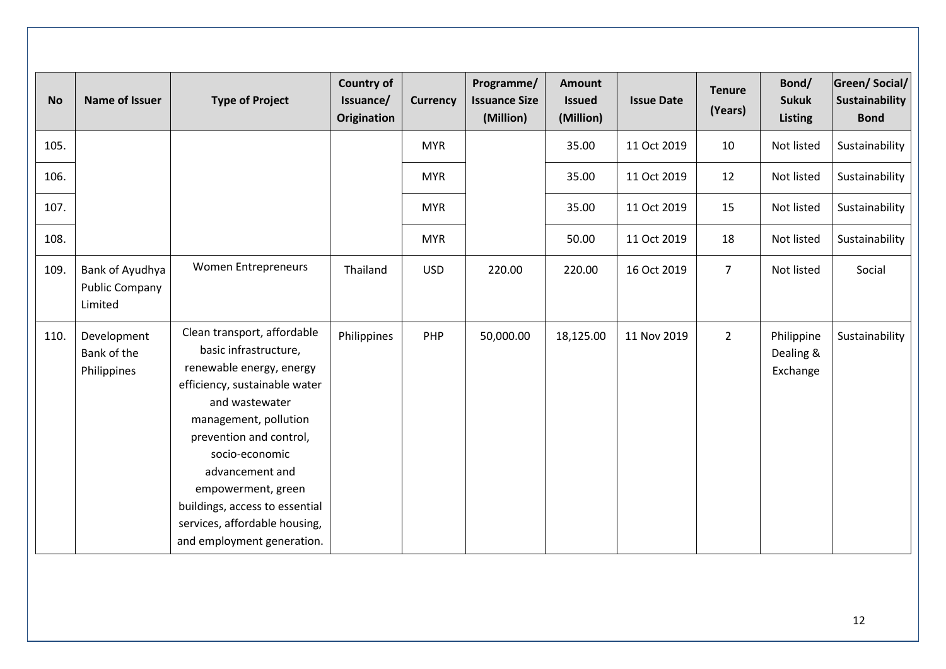| <b>No</b> | Name of Issuer                                      | <b>Type of Project</b>                                                                                                                                                                                                                                                                                                                              | <b>Country of</b><br>Issuance/<br>Origination | <b>Currency</b> | Programme/<br><b>Issuance Size</b><br>(Million) | Amount<br><b>Issued</b><br>(Million) | <b>Issue Date</b> | <b>Tenure</b><br>(Years) | Bond/<br><b>Sukuk</b><br><b>Listing</b> | <b>Green/Social/</b><br>Sustainability<br><b>Bond</b> |
|-----------|-----------------------------------------------------|-----------------------------------------------------------------------------------------------------------------------------------------------------------------------------------------------------------------------------------------------------------------------------------------------------------------------------------------------------|-----------------------------------------------|-----------------|-------------------------------------------------|--------------------------------------|-------------------|--------------------------|-----------------------------------------|-------------------------------------------------------|
| 105.      |                                                     |                                                                                                                                                                                                                                                                                                                                                     |                                               | <b>MYR</b>      |                                                 | 35.00                                | 11 Oct 2019       | 10                       | Not listed                              | Sustainability                                        |
| 106.      |                                                     |                                                                                                                                                                                                                                                                                                                                                     |                                               | <b>MYR</b>      |                                                 | 35.00                                | 11 Oct 2019       | 12                       | Not listed                              | Sustainability                                        |
| 107.      |                                                     |                                                                                                                                                                                                                                                                                                                                                     |                                               | <b>MYR</b>      |                                                 | 35.00                                | 11 Oct 2019       | 15                       | Not listed                              | Sustainability                                        |
| 108.      |                                                     |                                                                                                                                                                                                                                                                                                                                                     |                                               | <b>MYR</b>      |                                                 | 50.00                                | 11 Oct 2019       | 18                       | Not listed                              | Sustainability                                        |
| 109.      | Bank of Ayudhya<br><b>Public Company</b><br>Limited | <b>Women Entrepreneurs</b>                                                                                                                                                                                                                                                                                                                          | Thailand                                      | <b>USD</b>      | 220.00                                          | 220.00                               | 16 Oct 2019       | $\overline{7}$           | Not listed                              | Social                                                |
| 110.      | Development<br>Bank of the<br>Philippines           | Clean transport, affordable<br>basic infrastructure,<br>renewable energy, energy<br>efficiency, sustainable water<br>and wastewater<br>management, pollution<br>prevention and control,<br>socio-economic<br>advancement and<br>empowerment, green<br>buildings, access to essential<br>services, affordable housing,<br>and employment generation. | Philippines                                   | PHP             | 50,000.00                                       | 18,125.00                            | 11 Nov 2019       | $2^{\circ}$              | Philippine<br>Dealing &<br>Exchange     | Sustainability                                        |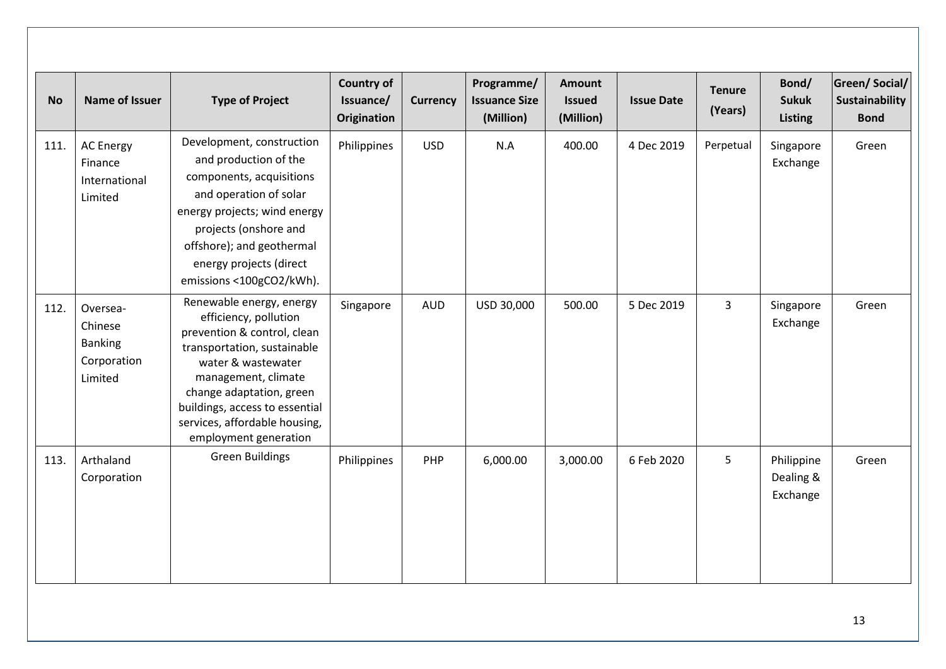| <b>No</b> | Name of Issuer                                                  | <b>Type of Project</b>                                                                                                                                                                                                                                                               | <b>Country of</b><br>Issuance/<br>Origination | <b>Currency</b> | Programme/<br><b>Issuance Size</b><br>(Million) | <b>Amount</b><br><b>Issued</b><br>(Million) | <b>Issue Date</b> | <b>Tenure</b><br>(Years) | Bond/<br><b>Sukuk</b><br><b>Listing</b> | Green/Social/<br>Sustainability<br><b>Bond</b> |
|-----------|-----------------------------------------------------------------|--------------------------------------------------------------------------------------------------------------------------------------------------------------------------------------------------------------------------------------------------------------------------------------|-----------------------------------------------|-----------------|-------------------------------------------------|---------------------------------------------|-------------------|--------------------------|-----------------------------------------|------------------------------------------------|
| 111.      | <b>AC Energy</b><br>Finance<br>International<br>Limited         | Development, construction<br>and production of the<br>components, acquisitions<br>and operation of solar<br>energy projects; wind energy<br>projects (onshore and<br>offshore); and geothermal<br>energy projects (direct<br>emissions <100gCO2/kWh).                                | Philippines                                   | <b>USD</b>      | N.A                                             | 400.00                                      | 4 Dec 2019        | Perpetual                | Singapore<br>Exchange                   | Green                                          |
| 112.      | Oversea-<br>Chinese<br><b>Banking</b><br>Corporation<br>Limited | Renewable energy, energy<br>efficiency, pollution<br>prevention & control, clean<br>transportation, sustainable<br>water & wastewater<br>management, climate<br>change adaptation, green<br>buildings, access to essential<br>services, affordable housing,<br>employment generation | Singapore                                     | <b>AUD</b>      | USD 30,000                                      | 500.00                                      | 5 Dec 2019        | $\overline{3}$           | Singapore<br>Exchange                   | Green                                          |
| 113.      | Arthaland<br>Corporation                                        | <b>Green Buildings</b>                                                                                                                                                                                                                                                               | Philippines                                   | PHP             | 6,000.00                                        | 3,000.00                                    | 6 Feb 2020        | 5                        | Philippine<br>Dealing &<br>Exchange     | Green                                          |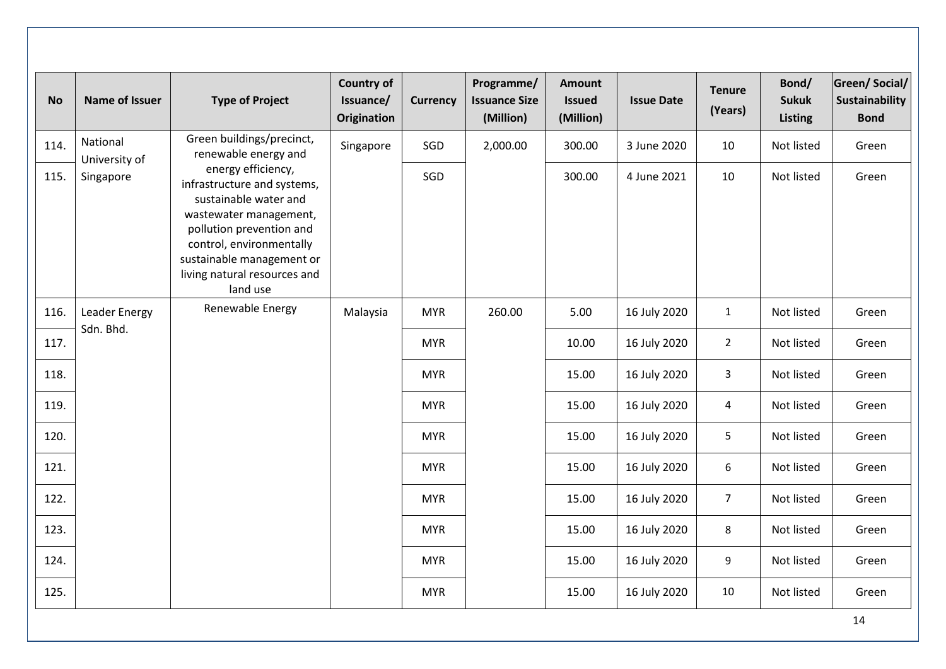| <b>No</b> | <b>Name of Issuer</b>      | <b>Type of Project</b>                                                                                                                                                                                                                | <b>Country of</b><br>Issuance/<br><b>Origination</b> | <b>Currency</b> | Programme/<br><b>Issuance Size</b><br>(Million) | <b>Amount</b><br><b>Issued</b><br>(Million) | <b>Issue Date</b> | <b>Tenure</b><br>(Years) | Bond/<br><b>Sukuk</b><br><b>Listing</b> | <b>Green/Social/</b><br><b>Sustainability</b><br><b>Bond</b> |       |
|-----------|----------------------------|---------------------------------------------------------------------------------------------------------------------------------------------------------------------------------------------------------------------------------------|------------------------------------------------------|-----------------|-------------------------------------------------|---------------------------------------------|-------------------|--------------------------|-----------------------------------------|--------------------------------------------------------------|-------|
| 114.      | National<br>University of  | Green buildings/precinct,<br>renewable energy and                                                                                                                                                                                     | Singapore                                            | SGD             | 2,000.00                                        | 300.00                                      | 3 June 2020       | 10                       | Not listed                              | Green                                                        |       |
| 115.      | Singapore                  | energy efficiency,<br>infrastructure and systems,<br>sustainable water and<br>wastewater management,<br>pollution prevention and<br>control, environmentally<br>sustainable management or<br>living natural resources and<br>land use |                                                      | SGD             |                                                 | 300.00                                      | 4 June 2021       | 10                       | Not listed                              | Green                                                        |       |
| 116.      | Leader Energy<br>Sdn. Bhd. | Renewable Energy                                                                                                                                                                                                                      | Malaysia                                             | <b>MYR</b>      | 260.00                                          | 5.00                                        | 16 July 2020      | $\mathbf{1}$             | Not listed                              | Green                                                        |       |
| 117.      |                            |                                                                                                                                                                                                                                       |                                                      | <b>MYR</b>      |                                                 | 10.00                                       | 16 July 2020      | $\overline{2}$           | Not listed                              | Green                                                        |       |
| 118.      |                            |                                                                                                                                                                                                                                       |                                                      | <b>MYR</b>      |                                                 | 15.00                                       | 16 July 2020      | $\mathbf{3}$             | Not listed                              | Green                                                        |       |
| 119.      |                            |                                                                                                                                                                                                                                       |                                                      | <b>MYR</b>      |                                                 | 15.00                                       | 16 July 2020      | $\overline{4}$           | Not listed                              | Green                                                        |       |
| 120.      |                            |                                                                                                                                                                                                                                       |                                                      | <b>MYR</b>      |                                                 | 15.00                                       | 16 July 2020      | 5                        | Not listed                              | Green                                                        |       |
| 121.      |                            |                                                                                                                                                                                                                                       |                                                      | <b>MYR</b>      |                                                 |                                             | 15.00             | 16 July 2020             | 6                                       | Not listed                                                   | Green |
| 122.      |                            |                                                                                                                                                                                                                                       |                                                      | <b>MYR</b>      |                                                 | 15.00                                       | 16 July 2020      | 7 <sup>1</sup>           | Not listed                              | Green                                                        |       |
| 123.      |                            |                                                                                                                                                                                                                                       |                                                      | <b>MYR</b>      |                                                 | 15.00                                       | 16 July 2020      | 8                        | Not listed                              | Green                                                        |       |
| 124.      |                            |                                                                                                                                                                                                                                       |                                                      | <b>MYR</b>      |                                                 | 15.00                                       | 16 July 2020      | 9                        | Not listed                              | Green                                                        |       |
| 125.      |                            |                                                                                                                                                                                                                                       |                                                      | <b>MYR</b>      |                                                 | 15.00                                       | 16 July 2020      | 10                       | Not listed                              | Green                                                        |       |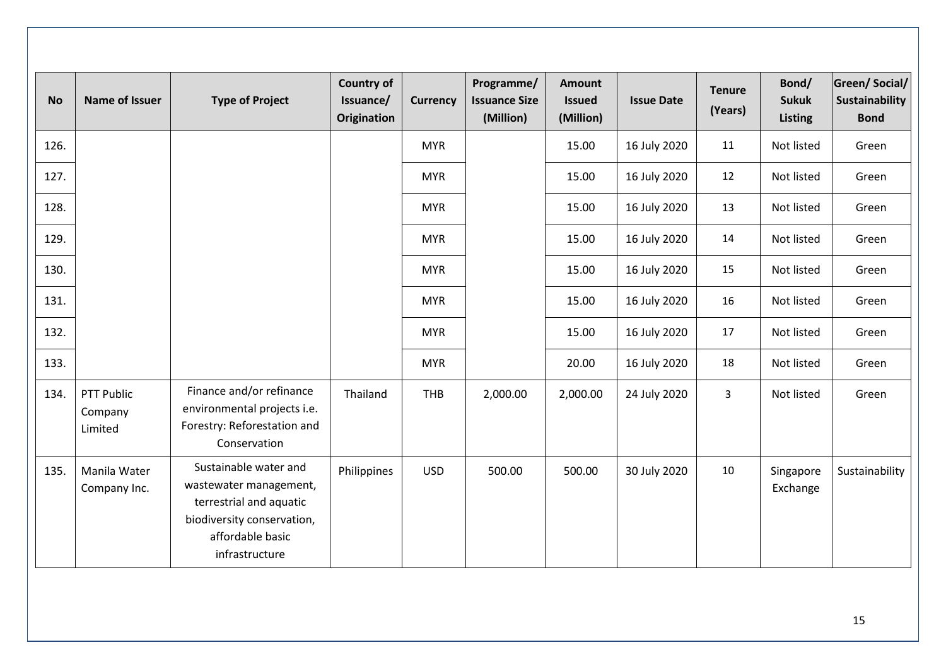| <b>No</b> | <b>Name of Issuer</b>            | <b>Type of Project</b>                                                                                                                         | <b>Country of</b><br>Issuance/<br><b>Origination</b> | <b>Currency</b> | Programme/<br><b>Issuance Size</b><br>(Million) | <b>Amount</b><br><b>Issued</b><br>(Million) | <b>Issue Date</b> | <b>Tenure</b><br>(Years) | Bond/<br><b>Sukuk</b><br><b>Listing</b> | <b>Green/Social/</b><br><b>Sustainability</b><br><b>Bond</b> |
|-----------|----------------------------------|------------------------------------------------------------------------------------------------------------------------------------------------|------------------------------------------------------|-----------------|-------------------------------------------------|---------------------------------------------|-------------------|--------------------------|-----------------------------------------|--------------------------------------------------------------|
| 126.      |                                  |                                                                                                                                                |                                                      | <b>MYR</b>      |                                                 | 15.00                                       | 16 July 2020      | 11                       | Not listed                              | Green                                                        |
| 127.      |                                  |                                                                                                                                                |                                                      | <b>MYR</b>      |                                                 | 15.00                                       | 16 July 2020      | 12                       | Not listed                              | Green                                                        |
| 128.      |                                  |                                                                                                                                                |                                                      | <b>MYR</b>      |                                                 | 15.00                                       | 16 July 2020      | 13                       | Not listed                              | Green                                                        |
| 129.      |                                  |                                                                                                                                                |                                                      | <b>MYR</b>      |                                                 | 15.00                                       | 16 July 2020      | 14                       | Not listed                              | Green                                                        |
| 130.      |                                  |                                                                                                                                                |                                                      | <b>MYR</b>      |                                                 | 15.00                                       | 16 July 2020      | 15                       | Not listed                              | Green                                                        |
| 131.      |                                  |                                                                                                                                                |                                                      | <b>MYR</b>      |                                                 | 15.00                                       | 16 July 2020      | 16                       | Not listed                              | Green                                                        |
| 132.      |                                  |                                                                                                                                                |                                                      | <b>MYR</b>      |                                                 | 15.00                                       | 16 July 2020      | 17                       | Not listed                              | Green                                                        |
| 133.      |                                  |                                                                                                                                                |                                                      | <b>MYR</b>      |                                                 | 20.00                                       | 16 July 2020      | 18                       | Not listed                              | Green                                                        |
| 134.      | PTT Public<br>Company<br>Limited | Finance and/or refinance<br>environmental projects i.e.<br>Forestry: Reforestation and<br>Conservation                                         | Thailand                                             | THB             | 2,000.00                                        | 2,000.00                                    | 24 July 2020      | 3                        | Not listed                              | Green                                                        |
| 135.      | Manila Water<br>Company Inc.     | Sustainable water and<br>wastewater management,<br>terrestrial and aquatic<br>biodiversity conservation,<br>affordable basic<br>infrastructure | Philippines                                          | <b>USD</b>      | 500.00                                          | 500.00                                      | 30 July 2020      | 10                       | Singapore<br>Exchange                   | Sustainability                                               |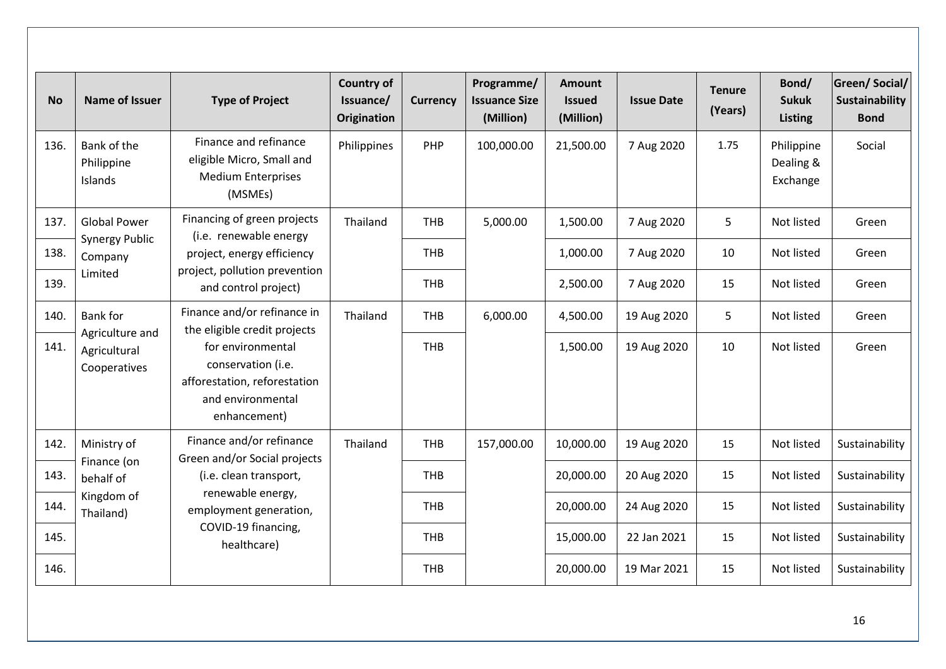| <b>No</b> | <b>Name of Issuer</b>                           | <b>Type of Project</b>                                                                                       | <b>Country of</b><br>Issuance/<br><b>Origination</b> | <b>Currency</b> | Programme/<br><b>Issuance Size</b><br>(Million) | <b>Amount</b><br><b>Issued</b><br>(Million) | <b>Issue Date</b> | <b>Tenure</b><br>(Years) | Bond/<br><b>Sukuk</b><br><b>Listing</b> | <b>Green/Social/</b><br>Sustainability<br><b>Bond</b> |
|-----------|-------------------------------------------------|--------------------------------------------------------------------------------------------------------------|------------------------------------------------------|-----------------|-------------------------------------------------|---------------------------------------------|-------------------|--------------------------|-----------------------------------------|-------------------------------------------------------|
| 136.      | Bank of the<br>Philippine<br>Islands            | Finance and refinance<br>eligible Micro, Small and<br><b>Medium Enterprises</b><br>(MSMEs)                   | Philippines                                          | PHP             | 100,000.00                                      | 21,500.00                                   | 7 Aug 2020        | 1.75                     | Philippine<br>Dealing &<br>Exchange     | Social                                                |
| 137.      | <b>Global Power</b>                             | Financing of green projects<br>(i.e. renewable energy                                                        | Thailand                                             | <b>THB</b>      | 5,000.00                                        | 1,500.00                                    | 7 Aug 2020        | 5                        | Not listed                              | Green                                                 |
| 138.      | <b>Synergy Public</b><br>Company                | project, energy efficiency                                                                                   |                                                      | <b>THB</b>      |                                                 | 1,000.00                                    | 7 Aug 2020        | 10                       | Not listed                              | Green                                                 |
| 139.      | Limited                                         | project, pollution prevention<br>and control project)                                                        |                                                      | <b>THB</b>      |                                                 | 2,500.00                                    | 7 Aug 2020        | 15                       | Not listed                              | Green                                                 |
| 140.      | <b>Bank for</b>                                 | Finance and/or refinance in<br>the eligible credit projects                                                  | Thailand                                             | <b>THB</b>      | 6,000.00                                        | 4,500.00                                    | 19 Aug 2020       | 5                        | Not listed                              | Green                                                 |
| 141.      | Agriculture and<br>Agricultural<br>Cooperatives | for environmental<br>conservation (i.e.<br>afforestation, reforestation<br>and environmental<br>enhancement) |                                                      | <b>THB</b>      |                                                 | 1,500.00                                    | 19 Aug 2020       | 10                       | Not listed                              | Green                                                 |
| 142.      | Ministry of                                     | Finance and/or refinance<br>Green and/or Social projects                                                     | Thailand                                             | <b>THB</b>      | 157,000.00                                      | 10,000.00                                   | 19 Aug 2020       | 15                       | Not listed                              | Sustainability                                        |
| 143.      | Finance (on<br>behalf of                        | (i.e. clean transport,                                                                                       |                                                      | <b>THB</b>      |                                                 | 20,000.00                                   | 20 Aug 2020       | 15                       | Not listed                              | Sustainability                                        |
| 144.      | Kingdom of<br>Thailand)                         | renewable energy,<br>employment generation,                                                                  |                                                      | <b>THB</b>      |                                                 | 20,000.00                                   | 24 Aug 2020       | 15                       | Not listed                              | Sustainability                                        |
| 145.      |                                                 | COVID-19 financing,<br>healthcare)                                                                           |                                                      | <b>THB</b>      |                                                 | 15,000.00                                   | 22 Jan 2021       | 15                       | Not listed                              | Sustainability                                        |
| 146.      |                                                 |                                                                                                              |                                                      | <b>THB</b>      |                                                 | 20,000.00                                   | 19 Mar 2021       | 15                       | Not listed                              | Sustainability                                        |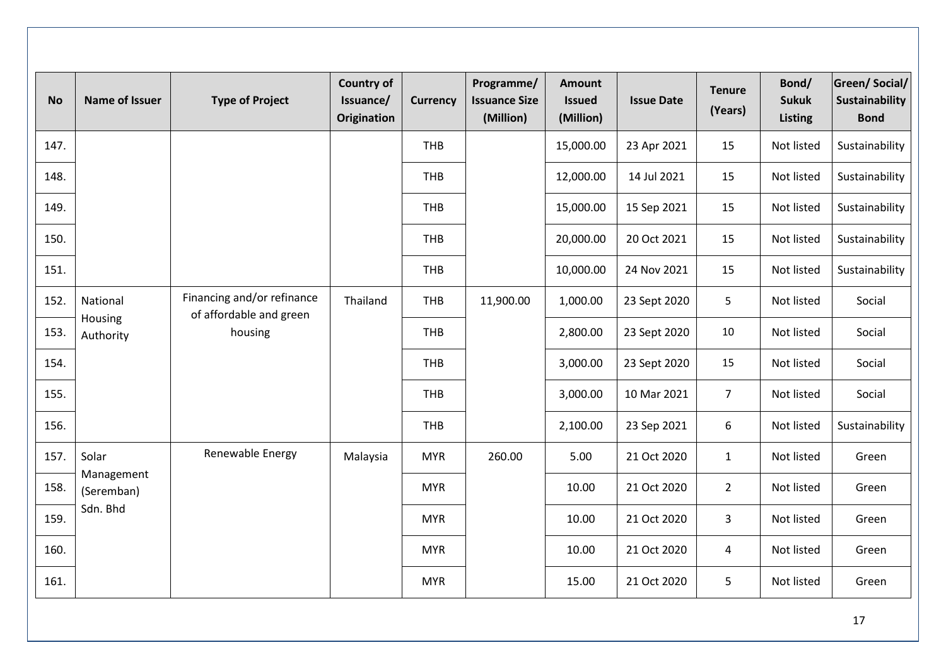| <b>No</b> | <b>Name of Issuer</b>    | <b>Type of Project</b>                                | <b>Country of</b><br>Issuance/<br><b>Origination</b> | <b>Currency</b> | Programme/<br><b>Issuance Size</b><br>(Million) | <b>Amount</b><br><b>Issued</b><br>(Million) | <b>Issue Date</b> | <b>Tenure</b><br>(Years) | Bond/<br><b>Sukuk</b><br>Listing | <b>Green/Social/</b><br>Sustainability<br><b>Bond</b> |
|-----------|--------------------------|-------------------------------------------------------|------------------------------------------------------|-----------------|-------------------------------------------------|---------------------------------------------|-------------------|--------------------------|----------------------------------|-------------------------------------------------------|
| 147.      |                          |                                                       |                                                      | <b>THB</b>      |                                                 | 15,000.00                                   | 23 Apr 2021       | 15                       | Not listed                       | Sustainability                                        |
| 148.      |                          |                                                       |                                                      | <b>THB</b>      |                                                 | 12,000.00                                   | 14 Jul 2021       | 15                       | Not listed                       | Sustainability                                        |
| 149.      |                          |                                                       |                                                      | THB             |                                                 | 15,000.00                                   | 15 Sep 2021       | 15                       | Not listed                       | Sustainability                                        |
| 150.      |                          |                                                       |                                                      | <b>THB</b>      |                                                 | 20,000.00                                   | 20 Oct 2021       | 15                       | Not listed                       | Sustainability                                        |
| 151.      |                          |                                                       |                                                      | THB             |                                                 | 10,000.00                                   | 24 Nov 2021       | 15                       | Not listed                       | Sustainability                                        |
| 152.      | National<br>Housing      | Financing and/or refinance<br>of affordable and green | Thailand                                             | <b>THB</b>      | 11,900.00                                       | 1,000.00                                    | 23 Sept 2020      | 5                        | Not listed                       | Social                                                |
| 153.      | Authority                | housing                                               |                                                      | THB             |                                                 | 2,800.00                                    | 23 Sept 2020      | 10                       | Not listed                       | Social                                                |
| 154.      |                          |                                                       |                                                      | <b>THB</b>      |                                                 | 3,000.00                                    | 23 Sept 2020      | 15                       | Not listed                       | Social                                                |
| 155.      |                          |                                                       |                                                      | <b>THB</b>      |                                                 | 3,000.00                                    | 10 Mar 2021       | $\overline{7}$           | Not listed                       | Social                                                |
| 156.      |                          |                                                       |                                                      | THB             |                                                 | 2,100.00                                    | 23 Sep 2021       | 6                        | Not listed                       | Sustainability                                        |
| 157.      | Solar                    | Renewable Energy                                      | Malaysia                                             | <b>MYR</b>      | 260.00                                          | 5.00                                        | 21 Oct 2020       | $\mathbf{1}$             | Not listed                       | Green                                                 |
| 158.      | Management<br>(Seremban) |                                                       |                                                      | <b>MYR</b>      |                                                 | 10.00                                       | 21 Oct 2020       | $\overline{2}$           | Not listed                       | Green                                                 |
| 159.      | Sdn. Bhd                 |                                                       |                                                      | <b>MYR</b>      |                                                 | 10.00                                       | 21 Oct 2020       | 3                        | Not listed                       | Green                                                 |
| 160.      |                          |                                                       |                                                      | <b>MYR</b>      |                                                 | 10.00                                       | 21 Oct 2020       | $\overline{4}$           | Not listed                       | Green                                                 |
| 161.      |                          |                                                       |                                                      | <b>MYR</b>      |                                                 | 15.00                                       | 21 Oct 2020       | 5                        | Not listed                       | Green                                                 |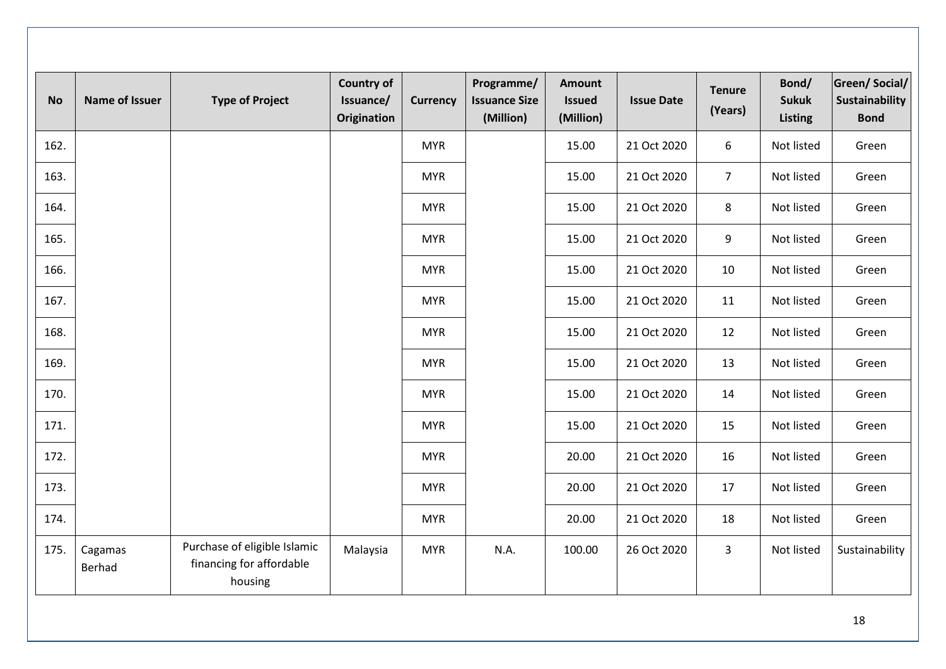| <b>No</b> | <b>Name of Issuer</b> | <b>Type of Project</b>                                              | <b>Country of</b><br>Issuance/<br><b>Origination</b> | <b>Currency</b> | Programme/<br><b>Issuance Size</b><br>(Million) | <b>Amount</b><br><b>Issued</b><br>(Million) | <b>Issue Date</b> | <b>Tenure</b><br>(Years) | Bond/<br><b>Sukuk</b><br><b>Listing</b> | <b>Green/Social/</b><br>Sustainability<br><b>Bond</b> |
|-----------|-----------------------|---------------------------------------------------------------------|------------------------------------------------------|-----------------|-------------------------------------------------|---------------------------------------------|-------------------|--------------------------|-----------------------------------------|-------------------------------------------------------|
| 162.      |                       |                                                                     |                                                      | <b>MYR</b>      |                                                 | 15.00                                       | 21 Oct 2020       | 6                        | Not listed                              | Green                                                 |
| 163.      |                       |                                                                     |                                                      | <b>MYR</b>      |                                                 | 15.00                                       | 21 Oct 2020       | $\overline{7}$           | Not listed                              | Green                                                 |
| 164.      |                       |                                                                     |                                                      | <b>MYR</b>      |                                                 | 15.00                                       | 21 Oct 2020       | 8                        | Not listed                              | Green                                                 |
| 165.      |                       |                                                                     |                                                      | <b>MYR</b>      |                                                 | 15.00                                       | 21 Oct 2020       | 9                        | Not listed                              | Green                                                 |
| 166.      |                       |                                                                     |                                                      | <b>MYR</b>      |                                                 | 15.00                                       | 21 Oct 2020       | 10                       | Not listed                              | Green                                                 |
| 167.      |                       |                                                                     |                                                      | <b>MYR</b>      |                                                 | 15.00                                       | 21 Oct 2020       | 11                       | Not listed                              | Green                                                 |
| 168.      |                       |                                                                     |                                                      | <b>MYR</b>      |                                                 | 15.00                                       | 21 Oct 2020       | 12                       | Not listed                              | Green                                                 |
| 169.      |                       |                                                                     |                                                      | <b>MYR</b>      |                                                 | 15.00                                       | 21 Oct 2020       | 13                       | Not listed                              | Green                                                 |
| 170.      |                       |                                                                     |                                                      | <b>MYR</b>      |                                                 | 15.00                                       | 21 Oct 2020       | 14                       | Not listed                              | Green                                                 |
| 171.      |                       |                                                                     |                                                      | <b>MYR</b>      |                                                 | 15.00                                       | 21 Oct 2020       | 15                       | Not listed                              | Green                                                 |
| 172.      |                       |                                                                     |                                                      | <b>MYR</b>      |                                                 | 20.00                                       | 21 Oct 2020       | 16                       | Not listed                              | Green                                                 |
| 173.      |                       |                                                                     |                                                      | <b>MYR</b>      |                                                 | 20.00                                       | 21 Oct 2020       | 17                       | Not listed                              | Green                                                 |
| 174.      |                       |                                                                     |                                                      | <b>MYR</b>      |                                                 | 20.00                                       | 21 Oct 2020       | 18                       | Not listed                              | Green                                                 |
| 175.      | Cagamas<br>Berhad     | Purchase of eligible Islamic<br>financing for affordable<br>housing | Malaysia                                             | <b>MYR</b>      | N.A.                                            | 100.00                                      | 26 Oct 2020       | $\overline{3}$           | Not listed                              | Sustainability                                        |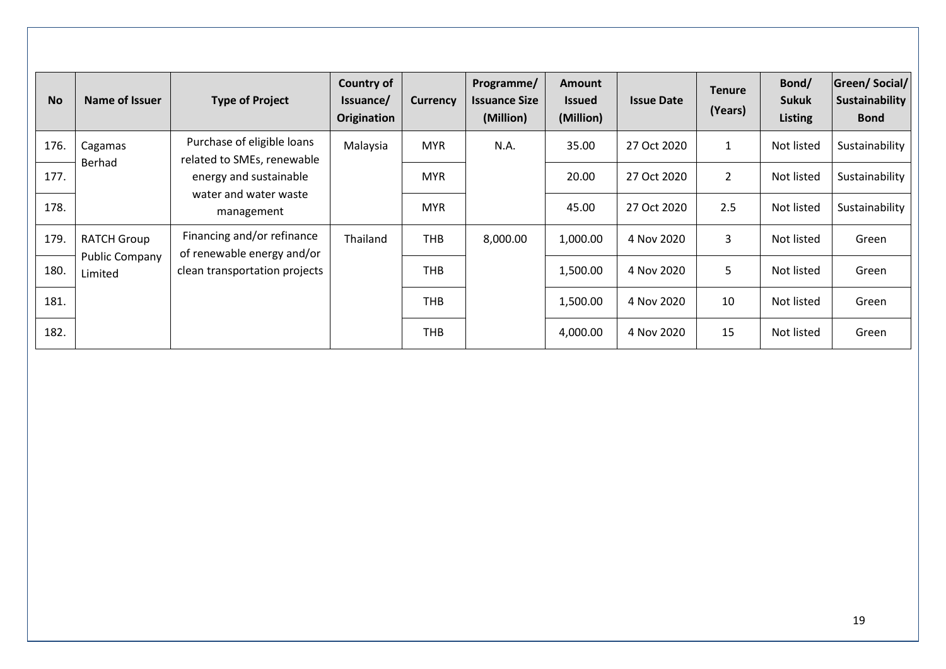| <b>No</b> | Name of Issuer                   | <b>Type of Project</b>                                   | <b>Country of</b><br>Issuance/<br>Origination | <b>Currency</b> | Programme/<br><b>Issuance Size</b><br>(Million) | <b>Amount</b><br><b>Issued</b><br>(Million) | <b>Issue Date</b> | <b>Tenure</b><br>(Years) | Bond/<br><b>Sukuk</b><br><b>Listing</b> | Green/Social/<br><b>Sustainability</b><br><b>Bond</b> |
|-----------|----------------------------------|----------------------------------------------------------|-----------------------------------------------|-----------------|-------------------------------------------------|---------------------------------------------|-------------------|--------------------------|-----------------------------------------|-------------------------------------------------------|
| 176.      | Cagamas                          | Purchase of eligible loans<br>related to SMEs, renewable | Malaysia                                      | <b>MYR</b>      | N.A.                                            | 35.00                                       | 27 Oct 2020       | 1                        | Not listed                              | Sustainability                                        |
| 177.      | Berhad                           | energy and sustainable                                   |                                               | <b>MYR</b>      |                                                 | 20.00                                       | 27 Oct 2020       | $\overline{2}$           | Not listed                              | Sustainability                                        |
| 178.      |                                  | water and water waste<br>management                      |                                               | <b>MYR</b>      |                                                 | 45.00                                       | 27 Oct 2020       | 2.5                      | Not listed                              | Sustainability                                        |
| 179.      | <b>RATCH Group</b>               | Financing and/or refinance<br>of renewable energy and/or | Thailand                                      | <b>THB</b>      | 8,000.00                                        | 1,000.00                                    | 4 Nov 2020        | 3                        | Not listed                              | Green                                                 |
| 180.      | <b>Public Company</b><br>Limited | clean transportation projects                            |                                               | <b>THB</b>      |                                                 | 1,500.00                                    | 4 Nov 2020        | 5                        | Not listed                              | Green                                                 |
| 181.      |                                  |                                                          |                                               | THB             |                                                 | 1,500.00                                    | 4 Nov 2020        | 10                       | Not listed                              | Green                                                 |
| 182.      |                                  |                                                          |                                               | <b>THB</b>      |                                                 | 4,000.00                                    | 4 Nov 2020        | 15                       | Not listed                              | Green                                                 |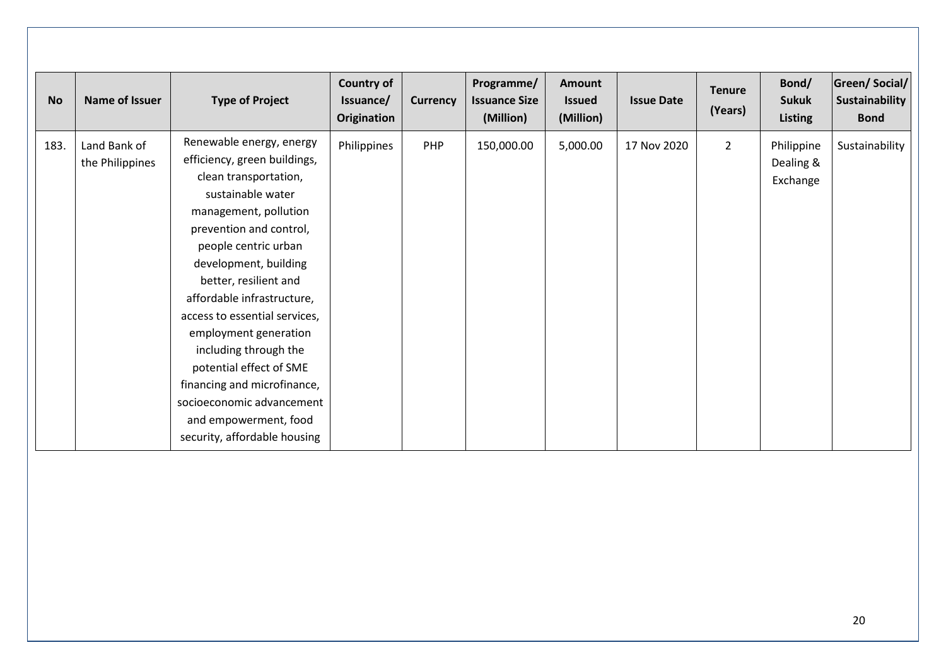| <b>No</b> | Name of Issuer                  | <b>Type of Project</b>                                                                                                                                                                                                                                                                                                                                                                                                                                                                                | <b>Country of</b><br>Issuance/<br>Origination | <b>Currency</b> | Programme/<br><b>Issuance Size</b><br>(Million) | Amount<br><b>Issued</b><br>(Million) | <b>Issue Date</b> | <b>Tenure</b><br>(Years) | Bond/<br><b>Sukuk</b><br><b>Listing</b> | <b>Green/Social/</b><br>Sustainability<br><b>Bond</b> |
|-----------|---------------------------------|-------------------------------------------------------------------------------------------------------------------------------------------------------------------------------------------------------------------------------------------------------------------------------------------------------------------------------------------------------------------------------------------------------------------------------------------------------------------------------------------------------|-----------------------------------------------|-----------------|-------------------------------------------------|--------------------------------------|-------------------|--------------------------|-----------------------------------------|-------------------------------------------------------|
| 183.      | Land Bank of<br>the Philippines | Renewable energy, energy<br>efficiency, green buildings,<br>clean transportation,<br>sustainable water<br>management, pollution<br>prevention and control,<br>people centric urban<br>development, building<br>better, resilient and<br>affordable infrastructure,<br>access to essential services,<br>employment generation<br>including through the<br>potential effect of SME<br>financing and microfinance,<br>socioeconomic advancement<br>and empowerment, food<br>security, affordable housing | Philippines                                   | PHP             | 150,000.00                                      | 5,000.00                             | 17 Nov 2020       | $\overline{2}$           | Philippine<br>Dealing &<br>Exchange     | Sustainability                                        |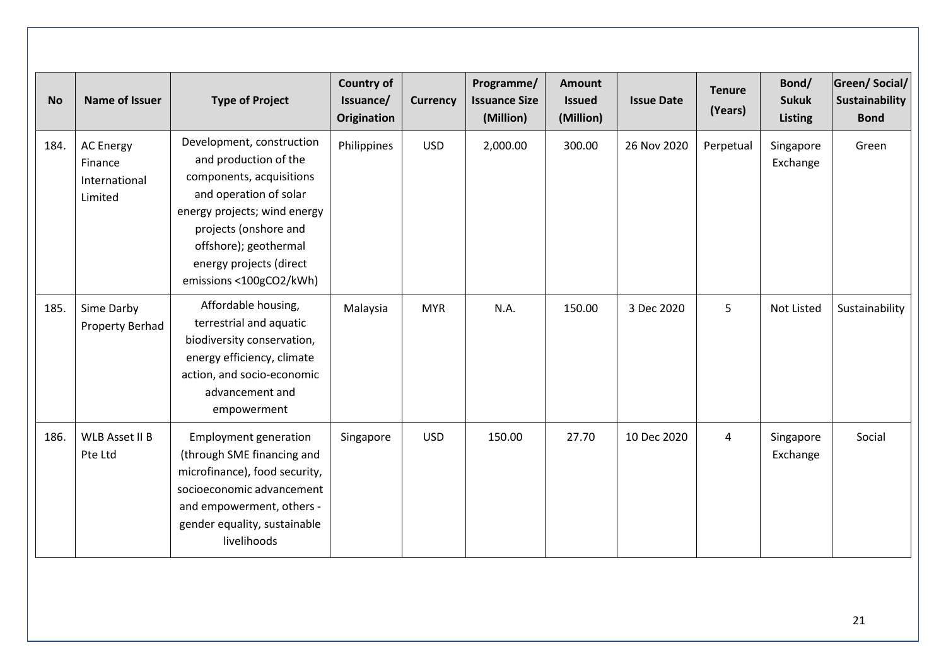| <b>No</b> | <b>Name of Issuer</b>                                   | <b>Type of Project</b>                                                                                                                                                                                                                           | <b>Country of</b><br>Issuance/<br><b>Origination</b> | <b>Currency</b> | Programme/<br><b>Issuance Size</b><br>(Million) | Amount<br><b>Issued</b><br>(Million) | <b>Issue Date</b> | <b>Tenure</b><br>(Years) | Bond/<br><b>Sukuk</b><br>Listing | Green/Social/<br>Sustainability<br><b>Bond</b> |
|-----------|---------------------------------------------------------|--------------------------------------------------------------------------------------------------------------------------------------------------------------------------------------------------------------------------------------------------|------------------------------------------------------|-----------------|-------------------------------------------------|--------------------------------------|-------------------|--------------------------|----------------------------------|------------------------------------------------|
| 184.      | <b>AC Energy</b><br>Finance<br>International<br>Limited | Development, construction<br>and production of the<br>components, acquisitions<br>and operation of solar<br>energy projects; wind energy<br>projects (onshore and<br>offshore); geothermal<br>energy projects (direct<br>emissions <100gCO2/kWh) | Philippines                                          | <b>USD</b>      | 2,000.00                                        | 300.00                               | 26 Nov 2020       | Perpetual                | Singapore<br>Exchange            | Green                                          |
| 185.      | Sime Darby<br><b>Property Berhad</b>                    | Affordable housing,<br>terrestrial and aquatic<br>biodiversity conservation,<br>energy efficiency, climate<br>action, and socio-economic<br>advancement and<br>empowerment                                                                       | Malaysia                                             | <b>MYR</b>      | N.A.                                            | 150.00                               | 3 Dec 2020        | 5                        | <b>Not Listed</b>                | Sustainability                                 |
| 186.      | WLB Asset II B<br>Pte Ltd                               | <b>Employment generation</b><br>(through SME financing and<br>microfinance), food security,<br>socioeconomic advancement<br>and empowerment, others -<br>gender equality, sustainable<br>livelihoods                                             | Singapore                                            | <b>USD</b>      | 150.00                                          | 27.70                                | 10 Dec 2020       | $\overline{4}$           | Singapore<br>Exchange            | Social                                         |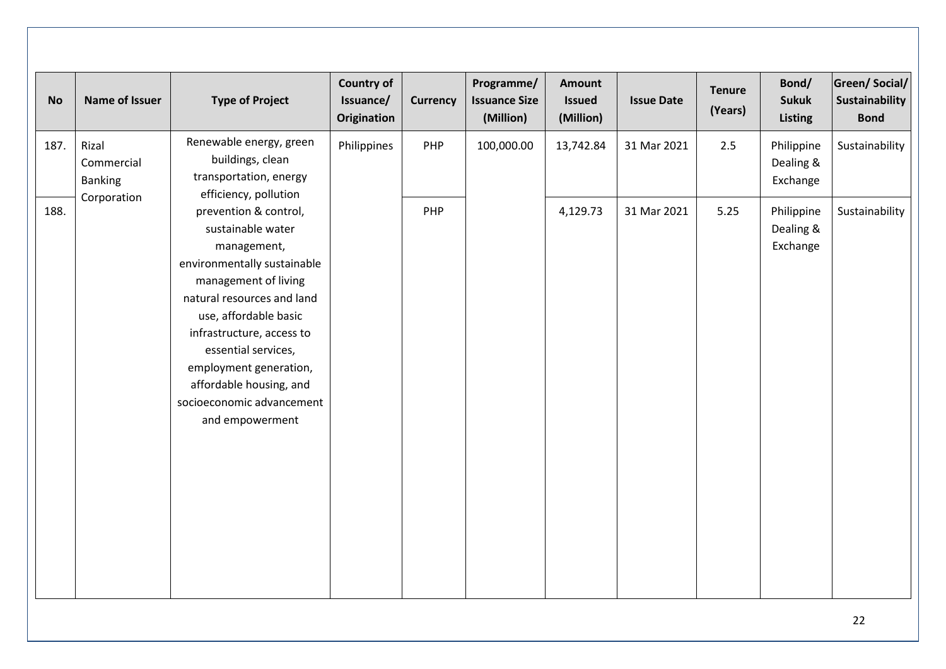| <b>No</b> | Name of Issuer                        | <b>Type of Project</b>                                                                                                                                                                                                                                                                                                           | <b>Country of</b><br>Issuance/<br>Origination | <b>Currency</b> | Programme/<br><b>Issuance Size</b><br>(Million) | Amount<br><b>Issued</b><br>(Million) | <b>Issue Date</b> | <b>Tenure</b><br>(Years) | Bond/<br><b>Sukuk</b><br><b>Listing</b> | Green/ Social/<br><b>Sustainability</b><br><b>Bond</b> |
|-----------|---------------------------------------|----------------------------------------------------------------------------------------------------------------------------------------------------------------------------------------------------------------------------------------------------------------------------------------------------------------------------------|-----------------------------------------------|-----------------|-------------------------------------------------|--------------------------------------|-------------------|--------------------------|-----------------------------------------|--------------------------------------------------------|
| 187.      | Rizal<br>Commercial<br><b>Banking</b> | Renewable energy, green<br>buildings, clean<br>transportation, energy<br>efficiency, pollution                                                                                                                                                                                                                                   | Philippines                                   | PHP             | 100,000.00                                      | 13,742.84                            | 31 Mar 2021       | 2.5                      | Philippine<br>Dealing &<br>Exchange     | Sustainability                                         |
| 188.      | Corporation                           | prevention & control,<br>sustainable water<br>management,<br>environmentally sustainable<br>management of living<br>natural resources and land<br>use, affordable basic<br>infrastructure, access to<br>essential services,<br>employment generation,<br>affordable housing, and<br>socioeconomic advancement<br>and empowerment |                                               | PHP             |                                                 | 4,129.73                             | 31 Mar 2021       | 5.25                     | Philippine<br>Dealing &<br>Exchange     | Sustainability                                         |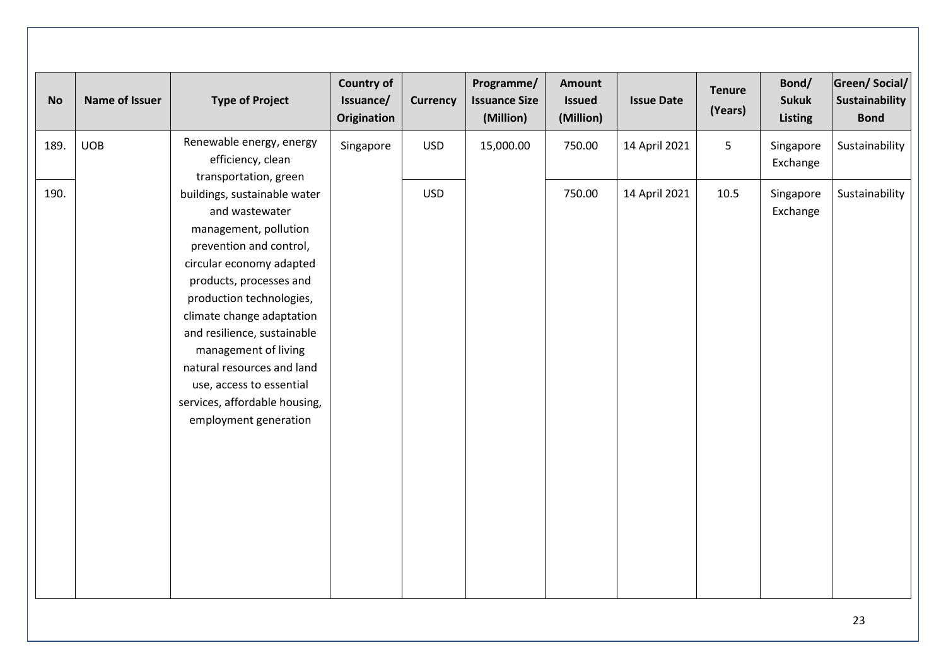| <b>No</b> | Name of Issuer | <b>Type of Project</b>                                                                                                                                                                                                                                                                                                                                                                        | <b>Country of</b><br>Issuance/<br><b>Origination</b> | <b>Currency</b> | Programme/<br><b>Issuance Size</b><br>(Million) | <b>Amount</b><br><b>Issued</b><br>(Million) | <b>Issue Date</b> | <b>Tenure</b><br>(Years) | Bond/<br><b>Sukuk</b><br><b>Listing</b> | Green/Social/<br>Sustainability<br><b>Bond</b> |
|-----------|----------------|-----------------------------------------------------------------------------------------------------------------------------------------------------------------------------------------------------------------------------------------------------------------------------------------------------------------------------------------------------------------------------------------------|------------------------------------------------------|-----------------|-------------------------------------------------|---------------------------------------------|-------------------|--------------------------|-----------------------------------------|------------------------------------------------|
| 189.      | <b>UOB</b>     | Renewable energy, energy<br>efficiency, clean<br>transportation, green                                                                                                                                                                                                                                                                                                                        | Singapore                                            | <b>USD</b>      | 15,000.00                                       | 750.00                                      | 14 April 2021     | 5                        | Singapore<br>Exchange                   | Sustainability                                 |
| 190.      |                | buildings, sustainable water<br>and wastewater<br>management, pollution<br>prevention and control,<br>circular economy adapted<br>products, processes and<br>production technologies,<br>climate change adaptation<br>and resilience, sustainable<br>management of living<br>natural resources and land<br>use, access to essential<br>services, affordable housing,<br>employment generation |                                                      | <b>USD</b>      |                                                 | 750.00                                      | 14 April 2021     | 10.5                     | Singapore<br>Exchange                   | Sustainability                                 |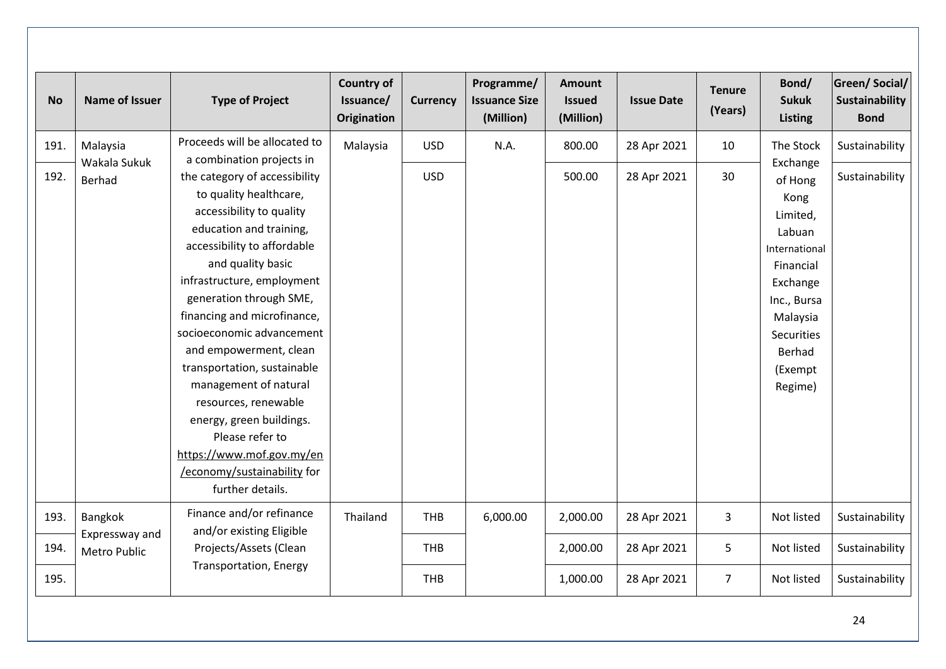| <b>No</b> | <b>Name of Issuer</b>                 | <b>Type of Project</b>                                                                                                                                                                                                                                                                                                                                                                                                                                                                                                           | <b>Country of</b><br>Issuance/<br><b>Origination</b> | <b>Currency</b> | Programme/<br><b>Issuance Size</b><br>(Million) | Amount<br><b>Issued</b><br>(Million) | <b>Issue Date</b> | <b>Tenure</b><br>(Years) | Bond/<br><b>Sukuk</b><br><b>Listing</b>                                                                                                                              | <b>Green/Social/</b><br>Sustainability<br><b>Bond</b> |
|-----------|---------------------------------------|----------------------------------------------------------------------------------------------------------------------------------------------------------------------------------------------------------------------------------------------------------------------------------------------------------------------------------------------------------------------------------------------------------------------------------------------------------------------------------------------------------------------------------|------------------------------------------------------|-----------------|-------------------------------------------------|--------------------------------------|-------------------|--------------------------|----------------------------------------------------------------------------------------------------------------------------------------------------------------------|-------------------------------------------------------|
| 191.      | Malaysia                              | Proceeds will be allocated to<br>a combination projects in                                                                                                                                                                                                                                                                                                                                                                                                                                                                       | Malaysia                                             | <b>USD</b>      | N.A.                                            | 800.00                               | 28 Apr 2021       | 10                       | The Stock                                                                                                                                                            | Sustainability                                        |
| 192.      | Wakala Sukuk<br>Berhad                | the category of accessibility<br>to quality healthcare,<br>accessibility to quality<br>education and training,<br>accessibility to affordable<br>and quality basic<br>infrastructure, employment<br>generation through SME,<br>financing and microfinance,<br>socioeconomic advancement<br>and empowerment, clean<br>transportation, sustainable<br>management of natural<br>resources, renewable<br>energy, green buildings.<br>Please refer to<br>https://www.mof.gov.my/en<br>/economy/sustainability for<br>further details. |                                                      | <b>USD</b>      |                                                 | 500.00                               | 28 Apr 2021       | 30                       | Exchange<br>of Hong<br>Kong<br>Limited,<br>Labuan<br>International<br>Financial<br>Exchange<br>Inc., Bursa<br>Malaysia<br>Securities<br>Berhad<br>(Exempt<br>Regime) | Sustainability                                        |
| 193.      | Bangkok                               | Finance and/or refinance<br>and/or existing Eligible                                                                                                                                                                                                                                                                                                                                                                                                                                                                             | Thailand                                             | <b>THB</b>      | 6,000.00                                        | 2,000.00                             | 28 Apr 2021       | 3                        | Not listed                                                                                                                                                           | Sustainability                                        |
| 194.      | Expressway and<br><b>Metro Public</b> | Projects/Assets (Clean                                                                                                                                                                                                                                                                                                                                                                                                                                                                                                           |                                                      | <b>THB</b>      |                                                 | 2,000.00                             | 28 Apr 2021       | 5                        | Not listed                                                                                                                                                           | Sustainability                                        |
| 195.      |                                       | <b>Transportation, Energy</b>                                                                                                                                                                                                                                                                                                                                                                                                                                                                                                    |                                                      | <b>THB</b>      |                                                 | 1,000.00                             | 28 Apr 2021       | $\overline{7}$           | Not listed                                                                                                                                                           | Sustainability                                        |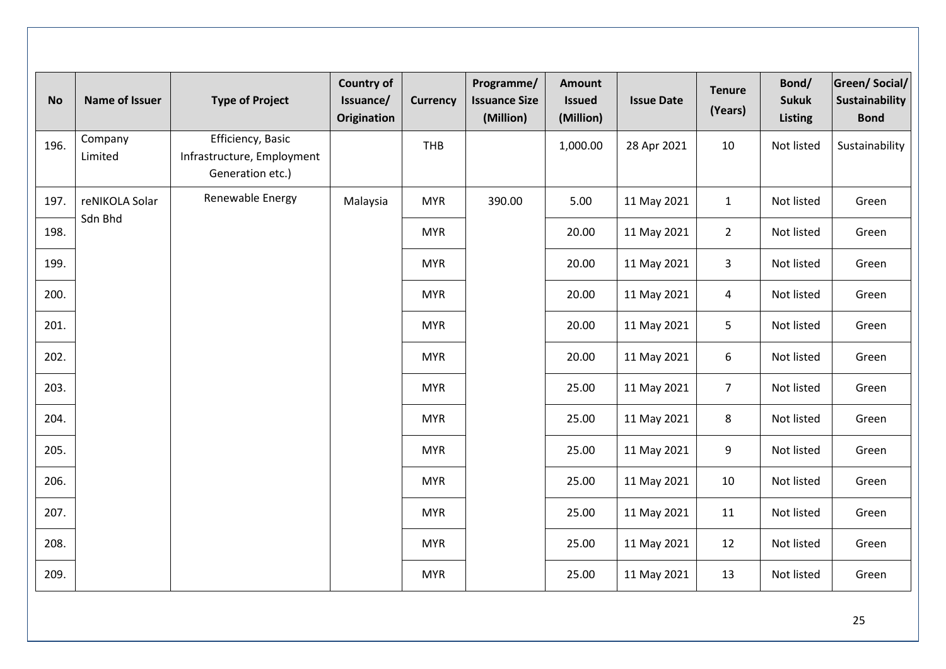| <b>No</b> | Name of Issuer            | <b>Type of Project</b>                                              | <b>Country of</b><br>Issuance/<br>Origination | <b>Currency</b> | Programme/<br><b>Issuance Size</b><br>(Million) | <b>Amount</b><br><b>Issued</b><br>(Million) | <b>Issue Date</b> | <b>Tenure</b><br>(Years) | Bond/<br><b>Sukuk</b><br><b>Listing</b> | <b>Green/Social/</b><br><b>Sustainability</b><br><b>Bond</b> |
|-----------|---------------------------|---------------------------------------------------------------------|-----------------------------------------------|-----------------|-------------------------------------------------|---------------------------------------------|-------------------|--------------------------|-----------------------------------------|--------------------------------------------------------------|
| 196.      | Company<br>Limited        | Efficiency, Basic<br>Infrastructure, Employment<br>Generation etc.) |                                               | THB             |                                                 | 1,000.00                                    | 28 Apr 2021       | 10                       | Not listed                              | Sustainability                                               |
| 197.      | reNIKOLA Solar<br>Sdn Bhd | Renewable Energy                                                    | Malaysia                                      | <b>MYR</b>      | 390.00                                          | 5.00                                        | 11 May 2021       | $\mathbf{1}$             | Not listed                              | Green                                                        |
| 198.      |                           |                                                                     |                                               | <b>MYR</b>      |                                                 | 20.00                                       | 11 May 2021       | $\overline{2}$           | Not listed                              | Green                                                        |
| 199.      |                           |                                                                     |                                               | <b>MYR</b>      |                                                 | 20.00                                       | 11 May 2021       | $\mathbf{3}$             | Not listed                              | Green                                                        |
| 200.      |                           |                                                                     |                                               | <b>MYR</b>      |                                                 | 20.00                                       | 11 May 2021       | $\overline{4}$           | Not listed                              | Green                                                        |
| 201.      |                           |                                                                     |                                               | <b>MYR</b>      |                                                 | 20.00                                       | 11 May 2021       | 5                        | Not listed                              | Green                                                        |
| 202.      |                           |                                                                     |                                               | <b>MYR</b>      |                                                 | 20.00                                       | 11 May 2021       | 6                        | Not listed                              | Green                                                        |
| 203.      |                           |                                                                     |                                               | <b>MYR</b>      |                                                 | 25.00                                       | 11 May 2021       | $\overline{7}$           | Not listed                              | Green                                                        |
| 204.      |                           |                                                                     |                                               | <b>MYR</b>      |                                                 | 25.00                                       | 11 May 2021       | 8                        | Not listed                              | Green                                                        |
| 205.      |                           |                                                                     |                                               | <b>MYR</b>      |                                                 | 25.00                                       | 11 May 2021       | 9                        | Not listed                              | Green                                                        |
| 206.      |                           |                                                                     |                                               | <b>MYR</b>      |                                                 | 25.00                                       | 11 May 2021       | 10                       | Not listed                              | Green                                                        |
| 207.      |                           |                                                                     |                                               | <b>MYR</b>      |                                                 | 25.00                                       | 11 May 2021       | 11                       | Not listed                              | Green                                                        |
| 208.      |                           |                                                                     |                                               | <b>MYR</b>      |                                                 | 25.00                                       | 11 May 2021       | 12                       | Not listed                              | Green                                                        |
| 209.      |                           |                                                                     |                                               | <b>MYR</b>      |                                                 | 25.00                                       | 11 May 2021       | 13                       | Not listed                              | Green                                                        |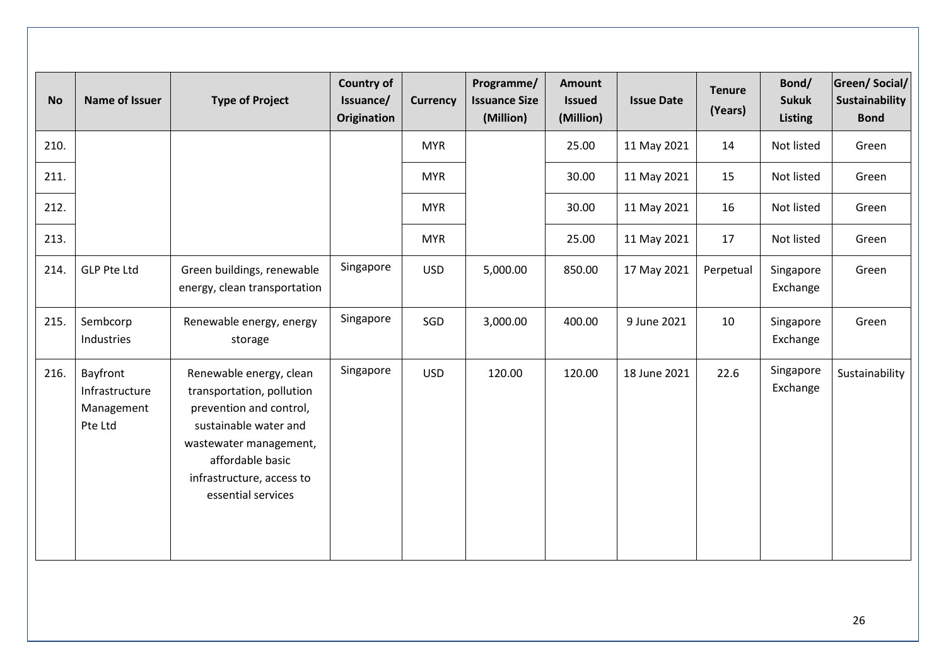| <b>No</b> | Name of Issuer                                      | <b>Type of Project</b>                                                                                                                                                                                    | <b>Country of</b><br>Issuance/<br>Origination | <b>Currency</b> | Programme/<br><b>Issuance Size</b><br>(Million) | Amount<br><b>Issued</b><br>(Million) | <b>Issue Date</b> | <b>Tenure</b><br>(Years) | Bond/<br><b>Sukuk</b><br><b>Listing</b> | <b>Green/Social/</b><br>Sustainability<br><b>Bond</b> |
|-----------|-----------------------------------------------------|-----------------------------------------------------------------------------------------------------------------------------------------------------------------------------------------------------------|-----------------------------------------------|-----------------|-------------------------------------------------|--------------------------------------|-------------------|--------------------------|-----------------------------------------|-------------------------------------------------------|
| 210.      |                                                     |                                                                                                                                                                                                           |                                               | <b>MYR</b>      |                                                 | 25.00                                | 11 May 2021       | 14                       | Not listed                              | Green                                                 |
| 211.      |                                                     |                                                                                                                                                                                                           |                                               | <b>MYR</b>      |                                                 | 30.00                                | 11 May 2021       | 15                       | Not listed                              | Green                                                 |
| 212.      |                                                     |                                                                                                                                                                                                           |                                               | <b>MYR</b>      |                                                 | 30.00                                | 11 May 2021       | 16                       | Not listed                              | Green                                                 |
| 213.      |                                                     |                                                                                                                                                                                                           |                                               | <b>MYR</b>      |                                                 | 25.00                                | 11 May 2021       | 17                       | Not listed                              | Green                                                 |
| 214.      | <b>GLP Pte Ltd</b>                                  | Green buildings, renewable<br>energy, clean transportation                                                                                                                                                | Singapore                                     | <b>USD</b>      | 5,000.00                                        | 850.00                               | 17 May 2021       | Perpetual                | Singapore<br>Exchange                   | Green                                                 |
| 215.      | Sembcorp<br>Industries                              | Renewable energy, energy<br>storage                                                                                                                                                                       | Singapore                                     | SGD             | 3,000.00                                        | 400.00                               | 9 June 2021       | 10                       | Singapore<br>Exchange                   | Green                                                 |
| 216.      | Bayfront<br>Infrastructure<br>Management<br>Pte Ltd | Renewable energy, clean<br>transportation, pollution<br>prevention and control,<br>sustainable water and<br>wastewater management,<br>affordable basic<br>infrastructure, access to<br>essential services | Singapore                                     | <b>USD</b>      | 120.00                                          | 120.00                               | 18 June 2021      | 22.6                     | Singapore<br>Exchange                   | Sustainability                                        |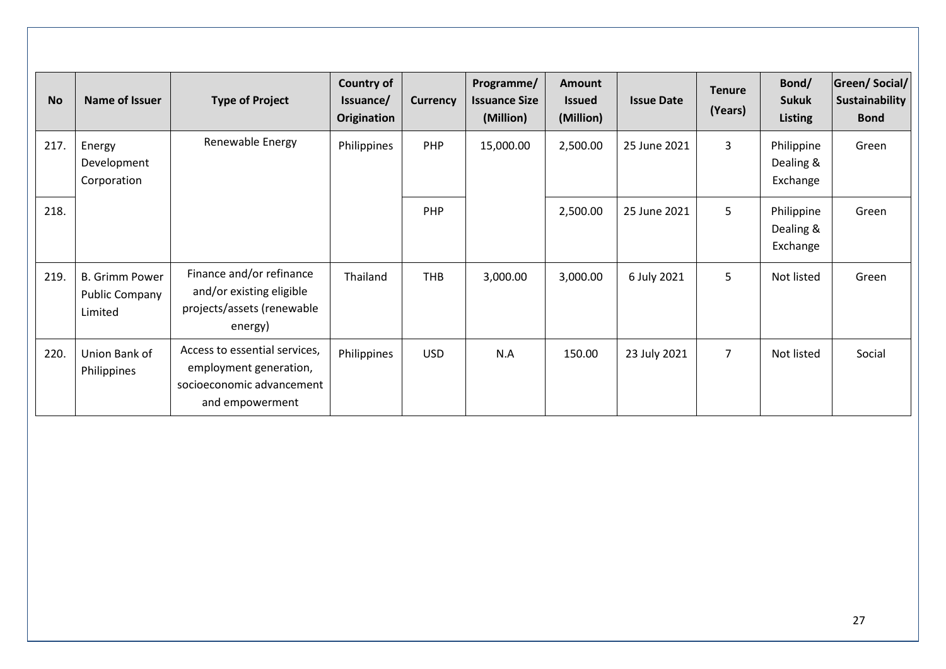| <b>No</b> | Name of Issuer                                            | <b>Type of Project</b>                                                                                  | <b>Country of</b><br>Issuance/<br>Origination | <b>Currency</b> | Programme/<br><b>Issuance Size</b><br>(Million) | Amount<br><b>Issued</b><br>(Million) | <b>Issue Date</b> | <b>Tenure</b><br>(Years) | Bond/<br><b>Sukuk</b><br><b>Listing</b> | <b>Green/Social/</b><br>Sustainability<br><b>Bond</b> |
|-----------|-----------------------------------------------------------|---------------------------------------------------------------------------------------------------------|-----------------------------------------------|-----------------|-------------------------------------------------|--------------------------------------|-------------------|--------------------------|-----------------------------------------|-------------------------------------------------------|
| 217.      | Energy<br>Development<br>Corporation                      | Renewable Energy                                                                                        | Philippines                                   | PHP             | 15,000.00                                       | 2,500.00                             | 25 June 2021      | 3                        | Philippine<br>Dealing &<br>Exchange     | Green                                                 |
| 218.      |                                                           |                                                                                                         |                                               | PHP             |                                                 | 2,500.00                             | 25 June 2021      | 5                        | Philippine<br>Dealing &<br>Exchange     | Green                                                 |
| 219.      | <b>B. Grimm Power</b><br><b>Public Company</b><br>Limited | Finance and/or refinance<br>and/or existing eligible<br>projects/assets (renewable<br>energy)           | Thailand                                      | <b>THB</b>      | 3,000.00                                        | 3,000.00                             | 6 July 2021       | 5                        | Not listed                              | Green                                                 |
| 220.      | Union Bank of<br>Philippines                              | Access to essential services,<br>employment generation,<br>socioeconomic advancement<br>and empowerment | Philippines                                   | <b>USD</b>      | N.A                                             | 150.00                               | 23 July 2021      | $\overline{7}$           | Not listed                              | Social                                                |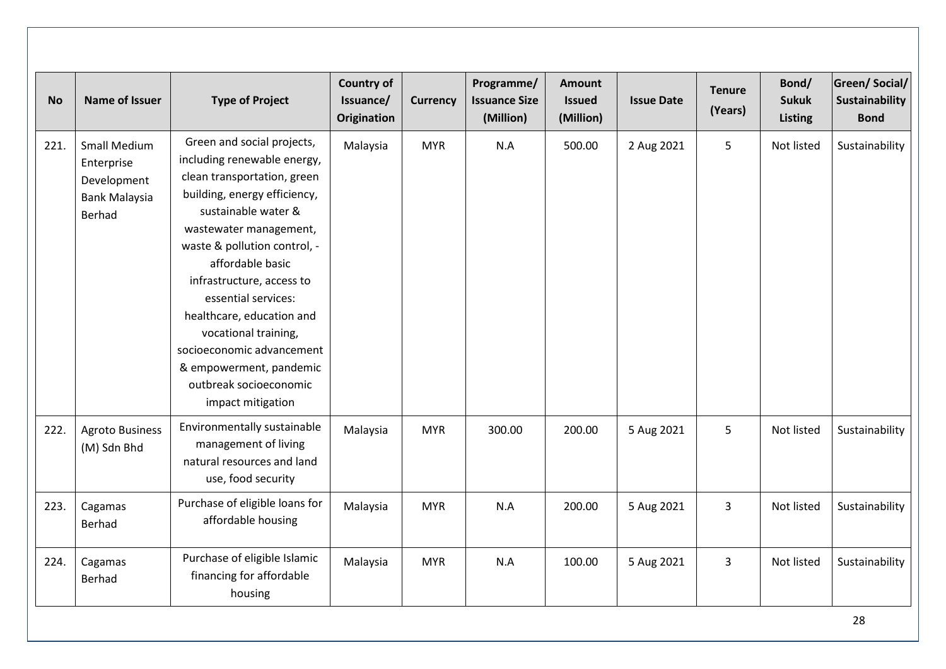| <b>No</b> | <b>Name of Issuer</b>                                                              | <b>Type of Project</b>                                                                                                                                                                                                                                                                                                                                                                                                                        | <b>Country of</b><br>Issuance/<br><b>Origination</b> | <b>Currency</b> | Programme/<br><b>Issuance Size</b><br>(Million) | <b>Amount</b><br><b>Issued</b><br>(Million) | <b>Issue Date</b> | <b>Tenure</b><br>(Years) | Bond/<br><b>Sukuk</b><br><b>Listing</b> | <b>Green/Social/</b><br>Sustainability<br><b>Bond</b> |
|-----------|------------------------------------------------------------------------------------|-----------------------------------------------------------------------------------------------------------------------------------------------------------------------------------------------------------------------------------------------------------------------------------------------------------------------------------------------------------------------------------------------------------------------------------------------|------------------------------------------------------|-----------------|-------------------------------------------------|---------------------------------------------|-------------------|--------------------------|-----------------------------------------|-------------------------------------------------------|
| 221.      | <b>Small Medium</b><br>Enterprise<br>Development<br><b>Bank Malaysia</b><br>Berhad | Green and social projects,<br>including renewable energy,<br>clean transportation, green<br>building, energy efficiency,<br>sustainable water &<br>wastewater management,<br>waste & pollution control, -<br>affordable basic<br>infrastructure, access to<br>essential services:<br>healthcare, education and<br>vocational training,<br>socioeconomic advancement<br>& empowerment, pandemic<br>outbreak socioeconomic<br>impact mitigation | Malaysia                                             | <b>MYR</b>      | N.A                                             | 500.00                                      | 2 Aug 2021        | 5                        | Not listed                              | Sustainability                                        |
| 222.      | <b>Agroto Business</b><br>(M) Sdn Bhd                                              | Environmentally sustainable<br>management of living<br>natural resources and land<br>use, food security                                                                                                                                                                                                                                                                                                                                       | Malaysia                                             | <b>MYR</b>      | 300.00                                          | 200.00                                      | 5 Aug 2021        | 5                        | Not listed                              | Sustainability                                        |
| 223.      | Cagamas<br>Berhad                                                                  | Purchase of eligible loans for<br>affordable housing                                                                                                                                                                                                                                                                                                                                                                                          | Malaysia                                             | <b>MYR</b>      | N.A                                             | 200.00                                      | 5 Aug 2021        | 3                        | Not listed                              | Sustainability                                        |
| 224.      | Cagamas<br><b>Berhad</b>                                                           | Purchase of eligible Islamic<br>financing for affordable<br>housing                                                                                                                                                                                                                                                                                                                                                                           | Malaysia                                             | <b>MYR</b>      | N.A                                             | 100.00                                      | 5 Aug 2021        | 3                        | Not listed                              | Sustainability                                        |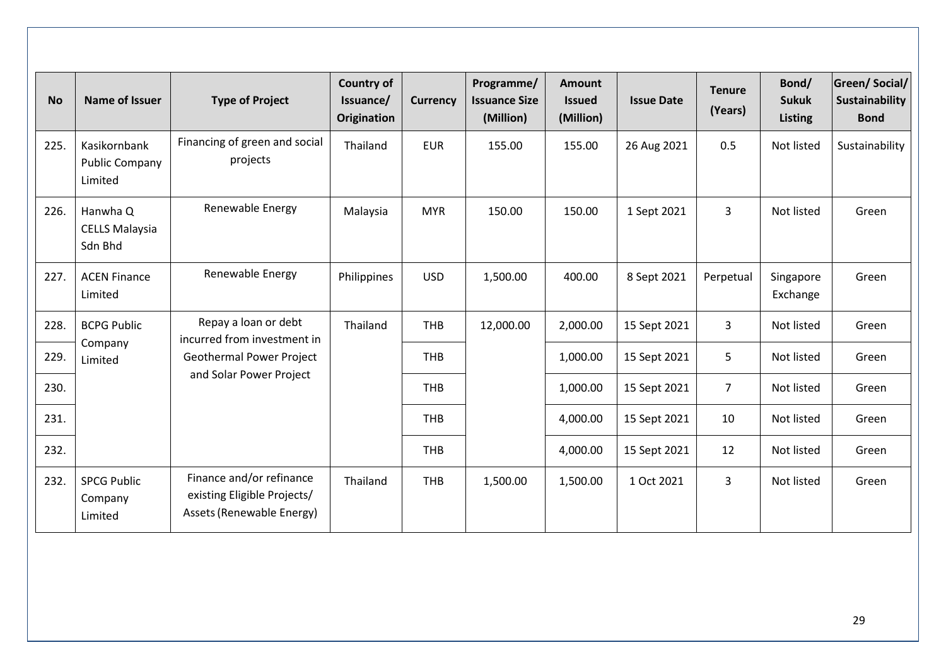|           |                                                  |                                                                                      | <b>Country of</b>        |                 | Programme/                        | <b>Amount</b>              |                   |                          | Bond/                          | <b>Green/Social/</b>          |
|-----------|--------------------------------------------------|--------------------------------------------------------------------------------------|--------------------------|-----------------|-----------------------------------|----------------------------|-------------------|--------------------------|--------------------------------|-------------------------------|
| <b>No</b> | <b>Name of Issuer</b>                            | <b>Type of Project</b>                                                               | Issuance/<br>Origination | <b>Currency</b> | <b>Issuance Size</b><br>(Million) | <b>Issued</b><br>(Million) | <b>Issue Date</b> | <b>Tenure</b><br>(Years) | <b>Sukuk</b><br><b>Listing</b> | Sustainability<br><b>Bond</b> |
| 225.      | Kasikornbank<br><b>Public Company</b><br>Limited | Financing of green and social<br>projects                                            | Thailand                 | <b>EUR</b>      | 155.00                            | 155.00                     | 26 Aug 2021       | 0.5                      | Not listed                     | Sustainability                |
| 226.      | Hanwha Q<br><b>CELLS Malaysia</b><br>Sdn Bhd     | Renewable Energy                                                                     | Malaysia                 | <b>MYR</b>      | 150.00                            | 150.00                     | 1 Sept 2021       | $\overline{3}$           | Not listed                     | Green                         |
| 227.      | <b>ACEN Finance</b><br>Limited                   | Renewable Energy                                                                     | Philippines              | <b>USD</b>      | 1,500.00                          | 400.00                     | 8 Sept 2021       | Perpetual                | Singapore<br>Exchange          | Green                         |
| 228.      | <b>BCPG Public</b>                               | Repay a loan or debt<br>incurred from investment in                                  | Thailand                 | <b>THB</b>      | 12,000.00                         | 2,000.00                   | 15 Sept 2021      | $\overline{3}$           | Not listed                     | Green                         |
| 229.      | Company<br>Limited                               | Geothermal Power Project                                                             |                          | <b>THB</b>      |                                   | 1,000.00                   | 15 Sept 2021      | 5                        | Not listed                     | Green                         |
| 230.      |                                                  | and Solar Power Project                                                              |                          | <b>THB</b>      |                                   | 1,000.00                   | 15 Sept 2021      | $\overline{7}$           | Not listed                     | Green                         |
| 231.      |                                                  |                                                                                      |                          | <b>THB</b>      |                                   | 4,000.00                   | 15 Sept 2021      | 10                       | Not listed                     | Green                         |
| 232.      |                                                  |                                                                                      |                          | <b>THB</b>      |                                   | 4,000.00                   | 15 Sept 2021      | 12                       | Not listed                     | Green                         |
| 232.      | <b>SPCG Public</b><br>Company<br>Limited         | Finance and/or refinance<br>existing Eligible Projects/<br>Assets (Renewable Energy) | Thailand                 | <b>THB</b>      | 1,500.00                          | 1,500.00                   | 1 Oct 2021        | $\overline{3}$           | Not listed                     | Green                         |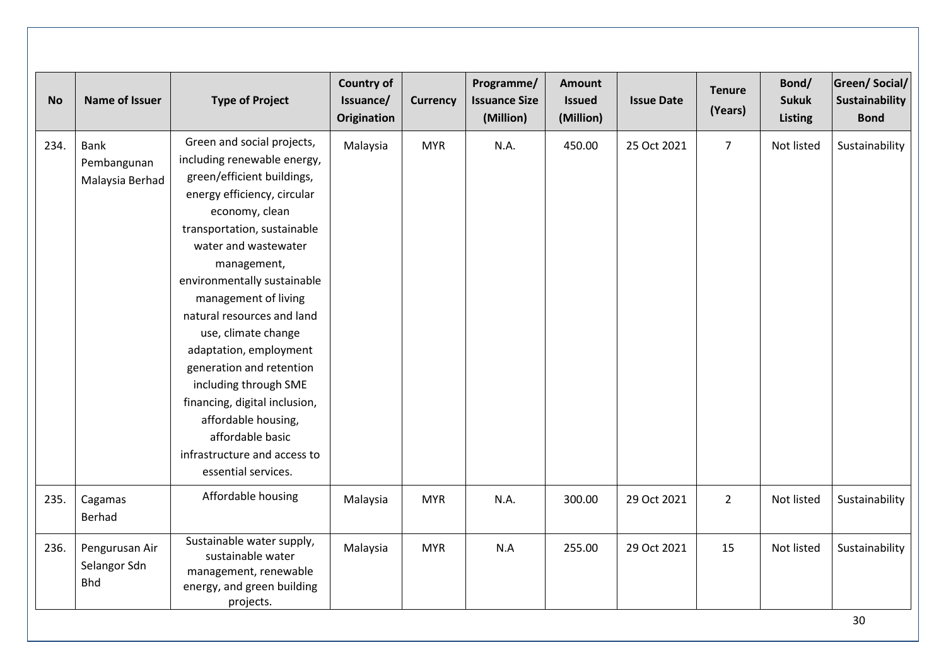| <b>No</b> | Name of Issuer                                | <b>Type of Project</b>                                                                                                                                                                                                                                                                                                                                                                                                                                                                                                                       | <b>Country of</b><br>Issuance/<br><b>Origination</b> | <b>Currency</b> | Programme/<br><b>Issuance Size</b><br>(Million) | <b>Amount</b><br><b>Issued</b><br>(Million) | <b>Issue Date</b> | <b>Tenure</b><br>(Years) | Bond/<br><b>Sukuk</b><br><b>Listing</b> | <b>Green/Social/</b><br>Sustainability<br><b>Bond</b> |
|-----------|-----------------------------------------------|----------------------------------------------------------------------------------------------------------------------------------------------------------------------------------------------------------------------------------------------------------------------------------------------------------------------------------------------------------------------------------------------------------------------------------------------------------------------------------------------------------------------------------------------|------------------------------------------------------|-----------------|-------------------------------------------------|---------------------------------------------|-------------------|--------------------------|-----------------------------------------|-------------------------------------------------------|
| 234.      | <b>Bank</b><br>Pembangunan<br>Malaysia Berhad | Green and social projects,<br>including renewable energy,<br>green/efficient buildings,<br>energy efficiency, circular<br>economy, clean<br>transportation, sustainable<br>water and wastewater<br>management,<br>environmentally sustainable<br>management of living<br>natural resources and land<br>use, climate change<br>adaptation, employment<br>generation and retention<br>including through SME<br>financing, digital inclusion,<br>affordable housing,<br>affordable basic<br>infrastructure and access to<br>essential services. | Malaysia                                             | <b>MYR</b>      | N.A.                                            | 450.00                                      | 25 Oct 2021       | $\overline{7}$           | Not listed                              | Sustainability                                        |
| 235.      | Cagamas<br>Berhad                             | Affordable housing                                                                                                                                                                                                                                                                                                                                                                                                                                                                                                                           | Malaysia                                             | <b>MYR</b>      | N.A.                                            | 300.00                                      | 29 Oct 2021       | $\overline{2}$           | Not listed                              | Sustainability                                        |
| 236.      | Pengurusan Air<br>Selangor Sdn<br><b>Bhd</b>  | Sustainable water supply,<br>sustainable water<br>management, renewable<br>energy, and green building<br>projects.                                                                                                                                                                                                                                                                                                                                                                                                                           | Malaysia                                             | <b>MYR</b>      | N.A                                             | 255.00                                      | 29 Oct 2021       | 15                       | Not listed                              | Sustainability                                        |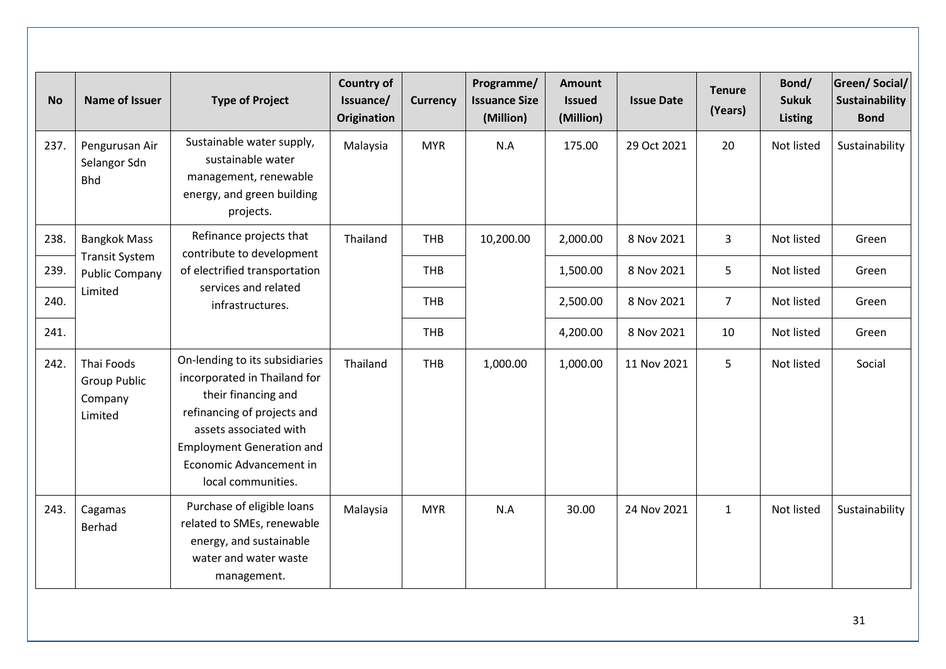| <b>No</b> | <b>Name of Issuer</b>                                   | <b>Type of Project</b>                                                                                                                                                                                                              | <b>Country of</b><br>Issuance/<br><b>Origination</b> | <b>Currency</b> | Programme/<br><b>Issuance Size</b><br>(Million) | <b>Amount</b><br><b>Issued</b><br>(Million) | <b>Issue Date</b> | <b>Tenure</b><br>(Years) | Bond/<br><b>Sukuk</b><br><b>Listing</b> | <b>Green/Social/</b><br>Sustainability<br><b>Bond</b> |
|-----------|---------------------------------------------------------|-------------------------------------------------------------------------------------------------------------------------------------------------------------------------------------------------------------------------------------|------------------------------------------------------|-----------------|-------------------------------------------------|---------------------------------------------|-------------------|--------------------------|-----------------------------------------|-------------------------------------------------------|
| 237.      | Pengurusan Air<br>Selangor Sdn<br><b>Bhd</b>            | Sustainable water supply,<br>sustainable water<br>management, renewable<br>energy, and green building<br>projects.                                                                                                                  | Malaysia                                             | <b>MYR</b>      | N.A                                             | 175.00                                      | 29 Oct 2021       | 20                       | Not listed                              | Sustainability                                        |
| 238.      | <b>Bangkok Mass</b>                                     | Refinance projects that<br>contribute to development                                                                                                                                                                                | Thailand                                             | <b>THB</b>      | 10,200.00                                       | 2,000.00                                    | 8 Nov 2021        | $\overline{3}$           | Not listed                              | Green                                                 |
| 239.      | <b>Transit System</b><br><b>Public Company</b>          | of electrified transportation                                                                                                                                                                                                       |                                                      | <b>THB</b>      |                                                 | 1,500.00                                    | 8 Nov 2021        | 5                        | Not listed                              | Green                                                 |
| 240.      | Limited                                                 | services and related<br>infrastructures.                                                                                                                                                                                            |                                                      | <b>THB</b>      |                                                 | 2,500.00                                    | 8 Nov 2021        | $\overline{7}$           | Not listed                              | Green                                                 |
| 241.      |                                                         |                                                                                                                                                                                                                                     |                                                      | <b>THB</b>      |                                                 | 4,200.00                                    | 8 Nov 2021        | 10                       | Not listed                              | Green                                                 |
| 242.      | Thai Foods<br><b>Group Public</b><br>Company<br>Limited | On-lending to its subsidiaries<br>incorporated in Thailand for<br>their financing and<br>refinancing of projects and<br>assets associated with<br><b>Employment Generation and</b><br>Economic Advancement in<br>local communities. | Thailand                                             | <b>THB</b>      | 1,000.00                                        | 1,000.00                                    | 11 Nov 2021       | 5                        | Not listed                              | Social                                                |
| 243.      | Cagamas<br><b>Berhad</b>                                | Purchase of eligible loans<br>related to SMEs, renewable<br>energy, and sustainable<br>water and water waste<br>management.                                                                                                         | Malaysia                                             | <b>MYR</b>      | N.A                                             | 30.00                                       | 24 Nov 2021       | $\mathbf{1}$             | Not listed                              | Sustainability                                        |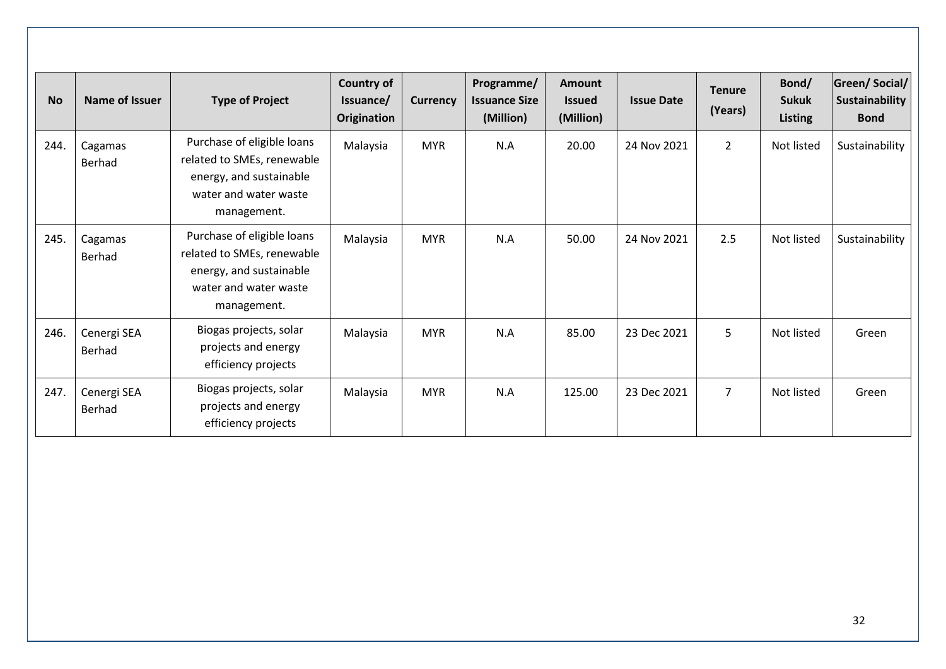| <b>No</b> | Name of Issuer        | <b>Type of Project</b>                                                                                                      | <b>Country of</b><br>Issuance/<br>Origination | <b>Currency</b> | Programme/<br><b>Issuance Size</b><br>(Million) | <b>Amount</b><br><b>Issued</b><br>(Million) | <b>Issue Date</b> | <b>Tenure</b><br>(Years) | Bond/<br><b>Sukuk</b><br><b>Listing</b> | Green/Social/<br>Sustainability<br><b>Bond</b> |
|-----------|-----------------------|-----------------------------------------------------------------------------------------------------------------------------|-----------------------------------------------|-----------------|-------------------------------------------------|---------------------------------------------|-------------------|--------------------------|-----------------------------------------|------------------------------------------------|
| 244.      | Cagamas<br>Berhad     | Purchase of eligible loans<br>related to SMEs, renewable<br>energy, and sustainable<br>water and water waste<br>management. | Malaysia                                      | <b>MYR</b>      | N.A                                             | 20.00                                       | 24 Nov 2021       | $\overline{2}$           | Not listed                              | Sustainability                                 |
| 245.      | Cagamas<br>Berhad     | Purchase of eligible loans<br>related to SMEs, renewable<br>energy, and sustainable<br>water and water waste<br>management. | Malaysia                                      | <b>MYR</b>      | N.A                                             | 50.00                                       | 24 Nov 2021       | 2.5                      | Not listed                              | Sustainability                                 |
| 246.      | Cenergi SEA<br>Berhad | Biogas projects, solar<br>projects and energy<br>efficiency projects                                                        | Malaysia                                      | <b>MYR</b>      | N.A                                             | 85.00                                       | 23 Dec 2021       | 5                        | Not listed                              | Green                                          |
| 247.      | Cenergi SEA<br>Berhad | Biogas projects, solar<br>projects and energy<br>efficiency projects                                                        | Malaysia                                      | <b>MYR</b>      | N.A                                             | 125.00                                      | 23 Dec 2021       | $\overline{7}$           | Not listed                              | Green                                          |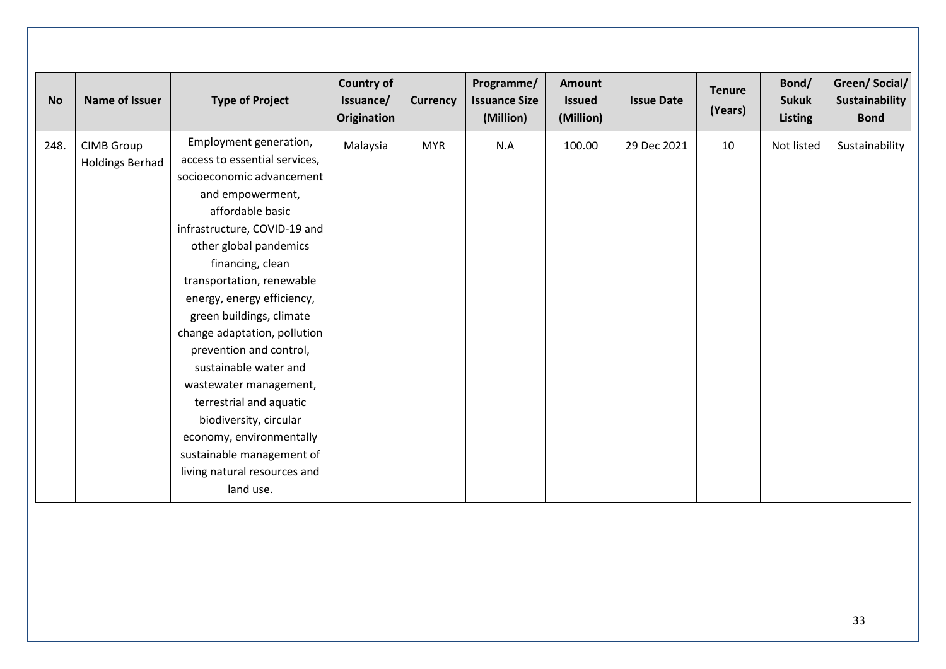| <b>No</b> | Name of Issuer                              | <b>Type of Project</b>                                                                                                                                                                                                                                                                                                                                                                                                                                                                                                                                                     | <b>Country of</b><br>Issuance/<br>Origination | <b>Currency</b> | Programme/<br><b>Issuance Size</b><br>(Million) | <b>Amount</b><br><b>Issued</b><br>(Million) | <b>Issue Date</b> | <b>Tenure</b><br>(Years) | Bond/<br><b>Sukuk</b><br><b>Listing</b> | Green/Social/<br>Sustainability<br><b>Bond</b> |
|-----------|---------------------------------------------|----------------------------------------------------------------------------------------------------------------------------------------------------------------------------------------------------------------------------------------------------------------------------------------------------------------------------------------------------------------------------------------------------------------------------------------------------------------------------------------------------------------------------------------------------------------------------|-----------------------------------------------|-----------------|-------------------------------------------------|---------------------------------------------|-------------------|--------------------------|-----------------------------------------|------------------------------------------------|
| 248.      | <b>CIMB Group</b><br><b>Holdings Berhad</b> | Employment generation,<br>access to essential services,<br>socioeconomic advancement<br>and empowerment,<br>affordable basic<br>infrastructure, COVID-19 and<br>other global pandemics<br>financing, clean<br>transportation, renewable<br>energy, energy efficiency,<br>green buildings, climate<br>change adaptation, pollution<br>prevention and control,<br>sustainable water and<br>wastewater management,<br>terrestrial and aquatic<br>biodiversity, circular<br>economy, environmentally<br>sustainable management of<br>living natural resources and<br>land use. | Malaysia                                      | <b>MYR</b>      | N.A                                             | 100.00                                      | 29 Dec 2021       | 10                       | Not listed                              | Sustainability                                 |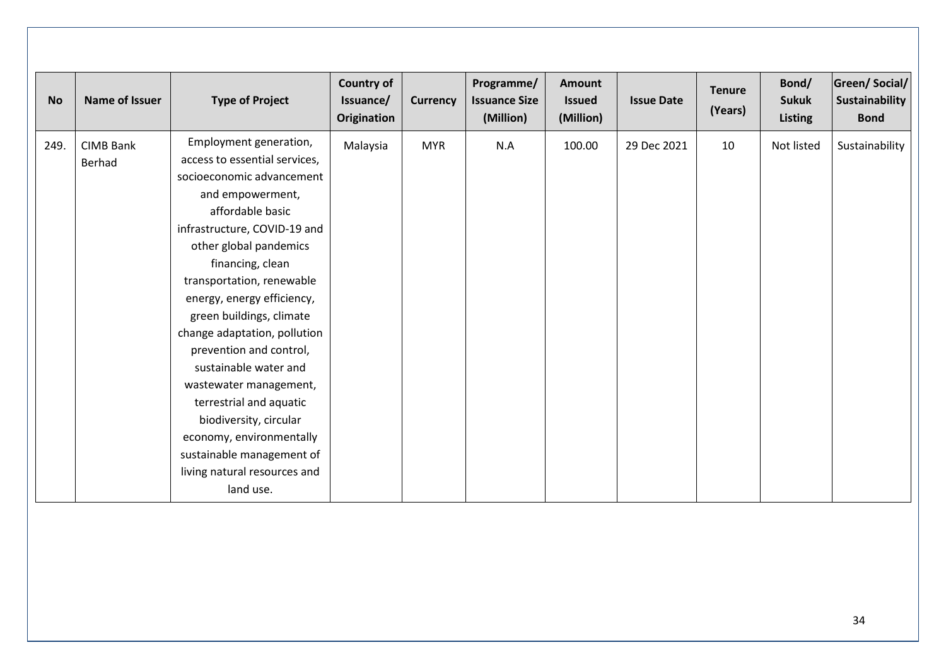| <b>No</b> | Name of Issuer             | <b>Type of Project</b>                                                                                                                                                                                                                                                                                                                                                                                                                                                                                                                                                     | <b>Country of</b><br>Issuance/<br>Origination | <b>Currency</b> | Programme/<br><b>Issuance Size</b><br>(Million) | <b>Amount</b><br><b>Issued</b><br>(Million) | <b>Issue Date</b> | <b>Tenure</b><br>(Years) | Bond/<br><b>Sukuk</b><br><b>Listing</b> | Green/Social/<br>Sustainability<br><b>Bond</b> |
|-----------|----------------------------|----------------------------------------------------------------------------------------------------------------------------------------------------------------------------------------------------------------------------------------------------------------------------------------------------------------------------------------------------------------------------------------------------------------------------------------------------------------------------------------------------------------------------------------------------------------------------|-----------------------------------------------|-----------------|-------------------------------------------------|---------------------------------------------|-------------------|--------------------------|-----------------------------------------|------------------------------------------------|
| 249.      | <b>CIMB Bank</b><br>Berhad | Employment generation,<br>access to essential services,<br>socioeconomic advancement<br>and empowerment,<br>affordable basic<br>infrastructure, COVID-19 and<br>other global pandemics<br>financing, clean<br>transportation, renewable<br>energy, energy efficiency,<br>green buildings, climate<br>change adaptation, pollution<br>prevention and control,<br>sustainable water and<br>wastewater management,<br>terrestrial and aquatic<br>biodiversity, circular<br>economy, environmentally<br>sustainable management of<br>living natural resources and<br>land use. | Malaysia                                      | <b>MYR</b>      | N.A                                             | 100.00                                      | 29 Dec 2021       | 10                       | Not listed                              | Sustainability                                 |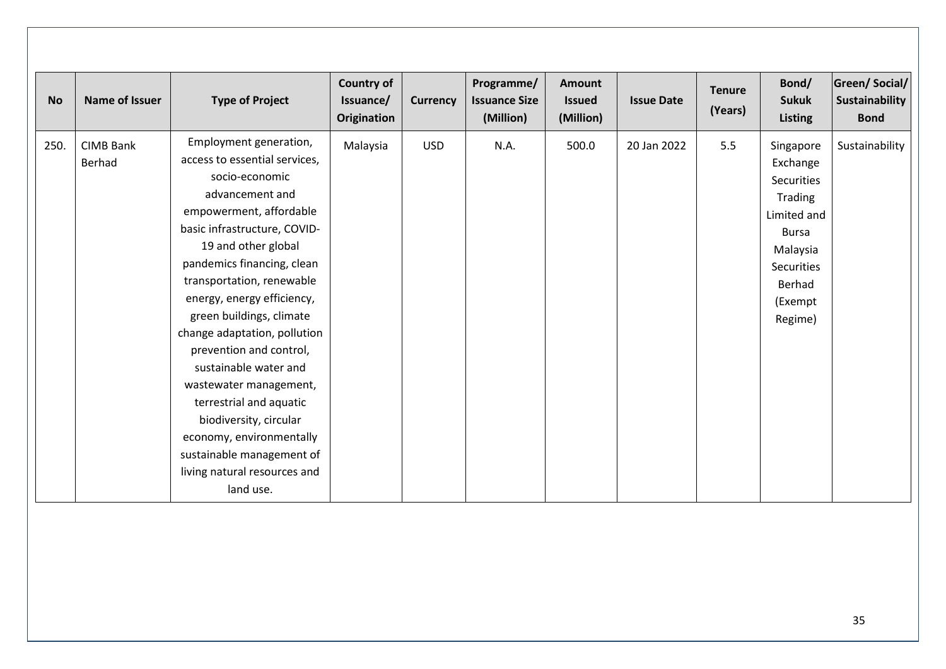| <b>No</b> | Name of Issuer             | <b>Type of Project</b>                                                                                                                                                                                                                                                                                                                                                                                                                                                                                                                                                       | <b>Country of</b><br>Issuance/<br>Origination | <b>Currency</b> | Programme/<br><b>Issuance Size</b><br>(Million) | Amount<br><b>Issued</b><br>(Million) | <b>Issue Date</b> | <b>Tenure</b><br>(Years) | Bond/<br><b>Sukuk</b><br><b>Listing</b>                                                                                                 | Green/Social/<br>Sustainability<br><b>Bond</b> |
|-----------|----------------------------|------------------------------------------------------------------------------------------------------------------------------------------------------------------------------------------------------------------------------------------------------------------------------------------------------------------------------------------------------------------------------------------------------------------------------------------------------------------------------------------------------------------------------------------------------------------------------|-----------------------------------------------|-----------------|-------------------------------------------------|--------------------------------------|-------------------|--------------------------|-----------------------------------------------------------------------------------------------------------------------------------------|------------------------------------------------|
| 250.      | <b>CIMB Bank</b><br>Berhad | Employment generation,<br>access to essential services,<br>socio-economic<br>advancement and<br>empowerment, affordable<br>basic infrastructure, COVID-<br>19 and other global<br>pandemics financing, clean<br>transportation, renewable<br>energy, energy efficiency,<br>green buildings, climate<br>change adaptation, pollution<br>prevention and control,<br>sustainable water and<br>wastewater management,<br>terrestrial and aquatic<br>biodiversity, circular<br>economy, environmentally<br>sustainable management of<br>living natural resources and<br>land use. | Malaysia                                      | <b>USD</b>      | N.A.                                            | 500.0                                | 20 Jan 2022       | 5.5                      | Singapore<br>Exchange<br>Securities<br>Trading<br>Limited and<br><b>Bursa</b><br>Malaysia<br>Securities<br>Berhad<br>(Exempt<br>Regime) | Sustainability                                 |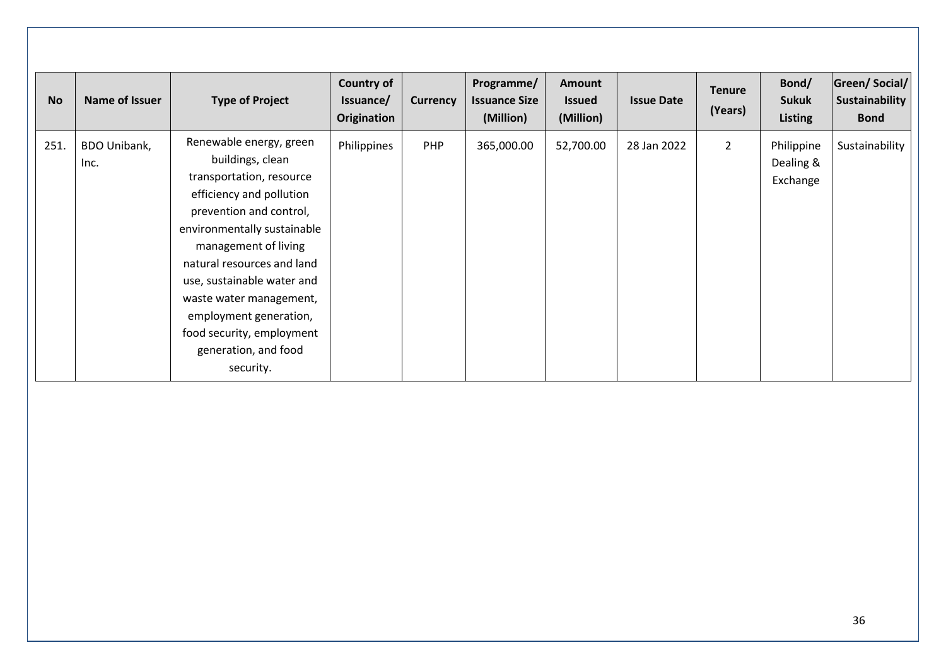| <b>No</b> | Name of Issuer       | <b>Type of Project</b>                                                                                                                                                                                                                                                                                                                                                   | <b>Country of</b><br>Issuance/<br>Origination | <b>Currency</b> | Programme/<br><b>Issuance Size</b><br>(Million) | <b>Amount</b><br><b>Issued</b><br>(Million) | <b>Issue Date</b> | <b>Tenure</b><br>(Years) | Bond/<br><b>Sukuk</b><br>Listing    | Green/Social/<br>Sustainability<br><b>Bond</b> |
|-----------|----------------------|--------------------------------------------------------------------------------------------------------------------------------------------------------------------------------------------------------------------------------------------------------------------------------------------------------------------------------------------------------------------------|-----------------------------------------------|-----------------|-------------------------------------------------|---------------------------------------------|-------------------|--------------------------|-------------------------------------|------------------------------------------------|
| 251.      | BDO Unibank,<br>Inc. | Renewable energy, green<br>buildings, clean<br>transportation, resource<br>efficiency and pollution<br>prevention and control,<br>environmentally sustainable<br>management of living<br>natural resources and land<br>use, sustainable water and<br>waste water management,<br>employment generation,<br>food security, employment<br>generation, and food<br>security. | Philippines                                   | <b>PHP</b>      | 365,000.00                                      | 52,700.00                                   | 28 Jan 2022       | $\overline{2}$           | Philippine<br>Dealing &<br>Exchange | Sustainability                                 |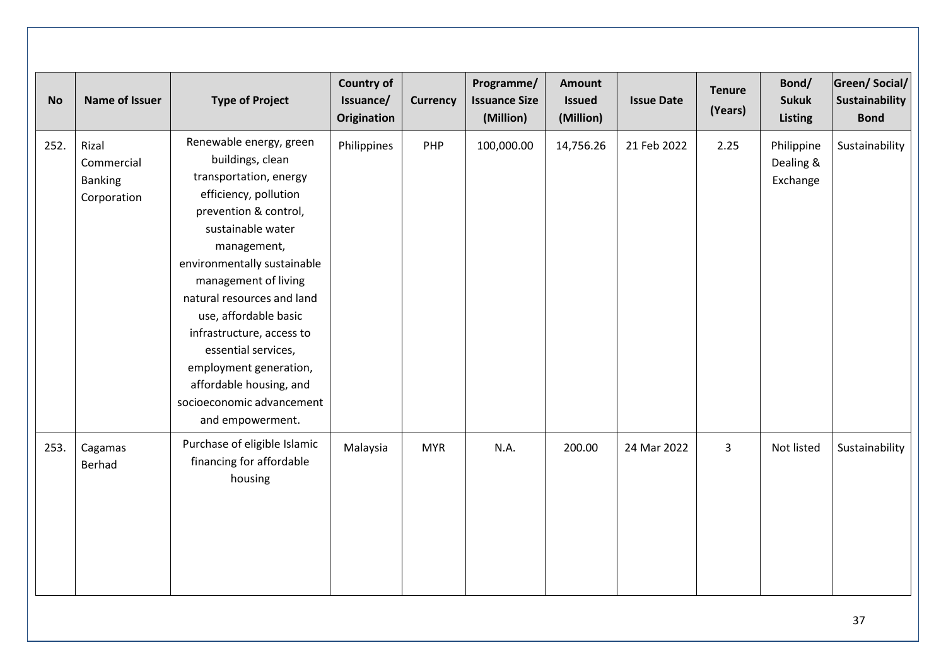| <b>No</b> | <b>Name of Issuer</b>                                | <b>Type of Project</b>                                                                                                                                                                                                                                                                                                                                                                                                              | <b>Country of</b><br>Issuance/<br>Origination | <b>Currency</b> | Programme/<br><b>Issuance Size</b><br>(Million) | <b>Amount</b><br><b>Issued</b><br>(Million) | <b>Issue Date</b> | <b>Tenure</b><br>(Years) | Bond/<br><b>Sukuk</b><br><b>Listing</b> | <b>Green/Social/</b><br>Sustainability<br><b>Bond</b> |
|-----------|------------------------------------------------------|-------------------------------------------------------------------------------------------------------------------------------------------------------------------------------------------------------------------------------------------------------------------------------------------------------------------------------------------------------------------------------------------------------------------------------------|-----------------------------------------------|-----------------|-------------------------------------------------|---------------------------------------------|-------------------|--------------------------|-----------------------------------------|-------------------------------------------------------|
| 252.      | Rizal<br>Commercial<br><b>Banking</b><br>Corporation | Renewable energy, green<br>buildings, clean<br>transportation, energy<br>efficiency, pollution<br>prevention & control,<br>sustainable water<br>management,<br>environmentally sustainable<br>management of living<br>natural resources and land<br>use, affordable basic<br>infrastructure, access to<br>essential services,<br>employment generation,<br>affordable housing, and<br>socioeconomic advancement<br>and empowerment. | Philippines                                   | PHP             | 100,000.00                                      | 14,756.26                                   | 21 Feb 2022       | 2.25                     | Philippine<br>Dealing &<br>Exchange     | Sustainability                                        |
| 253.      | Cagamas<br>Berhad                                    | Purchase of eligible Islamic<br>financing for affordable<br>housing                                                                                                                                                                                                                                                                                                                                                                 | Malaysia                                      | <b>MYR</b>      | N.A.                                            | 200.00                                      | 24 Mar 2022       | $\overline{3}$           | Not listed                              | Sustainability                                        |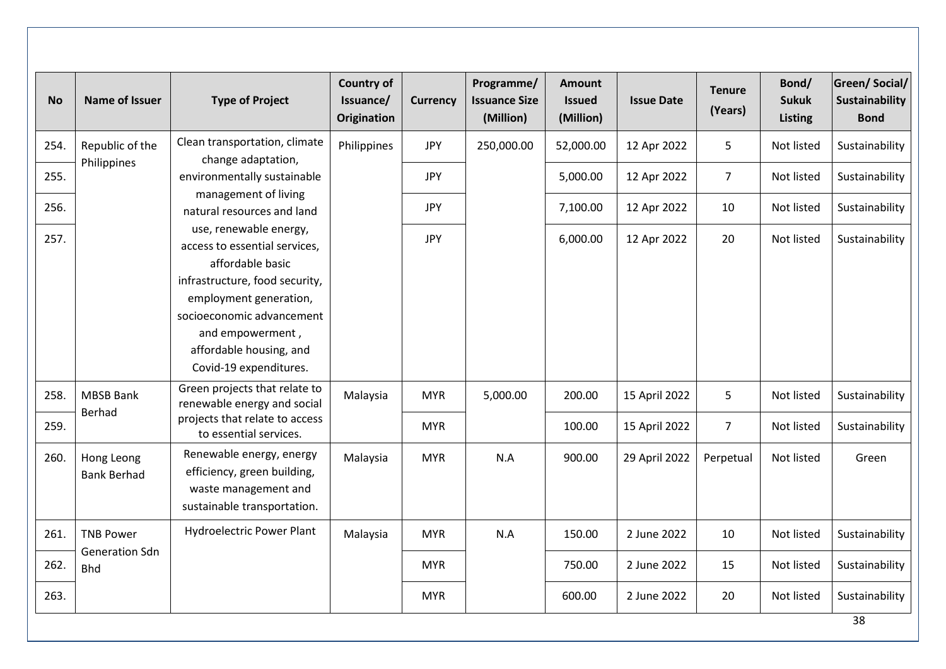| <b>No</b> | <b>Name of Issuer</b>                                   | <b>Type of Project</b>                                                                                                                                                                                                                                                                                                                                                                    | <b>Country of</b><br>Issuance/<br><b>Origination</b> | <b>Currency</b> | Programme/<br><b>Issuance Size</b><br>(Million) | <b>Amount</b><br><b>Issued</b><br>(Million) | <b>Issue Date</b> | <b>Tenure</b><br>(Years) | Bond/<br><b>Sukuk</b><br><b>Listing</b> | <b>Green/Social/</b><br>Sustainability<br><b>Bond</b> |
|-----------|---------------------------------------------------------|-------------------------------------------------------------------------------------------------------------------------------------------------------------------------------------------------------------------------------------------------------------------------------------------------------------------------------------------------------------------------------------------|------------------------------------------------------|-----------------|-------------------------------------------------|---------------------------------------------|-------------------|--------------------------|-----------------------------------------|-------------------------------------------------------|
| 254.      | Republic of the<br>Philippines                          | Clean transportation, climate<br>change adaptation,<br>environmentally sustainable<br>management of living<br>natural resources and land<br>use, renewable energy,<br>access to essential services,<br>affordable basic<br>infrastructure, food security,<br>employment generation,<br>socioeconomic advancement<br>and empowerment,<br>affordable housing, and<br>Covid-19 expenditures. | Philippines                                          | <b>JPY</b>      | 250,000.00                                      | 52,000.00                                   | 12 Apr 2022       | 5                        | Not listed                              | Sustainability                                        |
| 255.      |                                                         |                                                                                                                                                                                                                                                                                                                                                                                           |                                                      | <b>JPY</b>      |                                                 | 5,000.00                                    | 12 Apr 2022       | $\overline{7}$           | Not listed                              | Sustainability                                        |
| 256.      |                                                         |                                                                                                                                                                                                                                                                                                                                                                                           |                                                      | JPY             |                                                 | 7,100.00                                    | 12 Apr 2022       | 10                       | Not listed                              | Sustainability                                        |
| 257.      |                                                         |                                                                                                                                                                                                                                                                                                                                                                                           |                                                      | <b>JPY</b>      |                                                 | 6,000.00                                    | 12 Apr 2022       | 20                       | Not listed                              | Sustainability                                        |
| 258.      | <b>MBSB Bank</b><br><b>Berhad</b>                       | Green projects that relate to<br>renewable energy and social                                                                                                                                                                                                                                                                                                                              | Malaysia                                             | <b>MYR</b>      | 5,000.00                                        | 200.00                                      | 15 April 2022     | 5                        | Not listed                              | Sustainability                                        |
| 259.      |                                                         | projects that relate to access<br>to essential services.                                                                                                                                                                                                                                                                                                                                  |                                                      | <b>MYR</b>      |                                                 | 100.00                                      | 15 April 2022     | $\overline{7}$           | Not listed                              | Sustainability                                        |
| 260.      | Hong Leong<br><b>Bank Berhad</b>                        | Renewable energy, energy<br>efficiency, green building,<br>waste management and<br>sustainable transportation.                                                                                                                                                                                                                                                                            | Malaysia                                             | <b>MYR</b>      | N.A                                             | 900.00                                      | 29 April 2022     | Perpetual                | Not listed                              | Green                                                 |
| 261.      | <b>TNB Power</b><br><b>Generation Sdn</b><br><b>Bhd</b> | <b>Hydroelectric Power Plant</b>                                                                                                                                                                                                                                                                                                                                                          | Malaysia                                             | <b>MYR</b>      | N.A                                             | 150.00                                      | 2 June 2022       | 10                       | Not listed                              | Sustainability                                        |
| 262.      |                                                         |                                                                                                                                                                                                                                                                                                                                                                                           |                                                      | <b>MYR</b>      |                                                 | 750.00                                      | 2 June 2022       | 15                       | Not listed                              | Sustainability                                        |
| 263.      |                                                         |                                                                                                                                                                                                                                                                                                                                                                                           |                                                      | <b>MYR</b>      |                                                 | 600.00                                      | 2 June 2022       | 20                       | Not listed                              | Sustainability                                        |
|           |                                                         |                                                                                                                                                                                                                                                                                                                                                                                           |                                                      |                 |                                                 |                                             |                   |                          |                                         | 38                                                    |